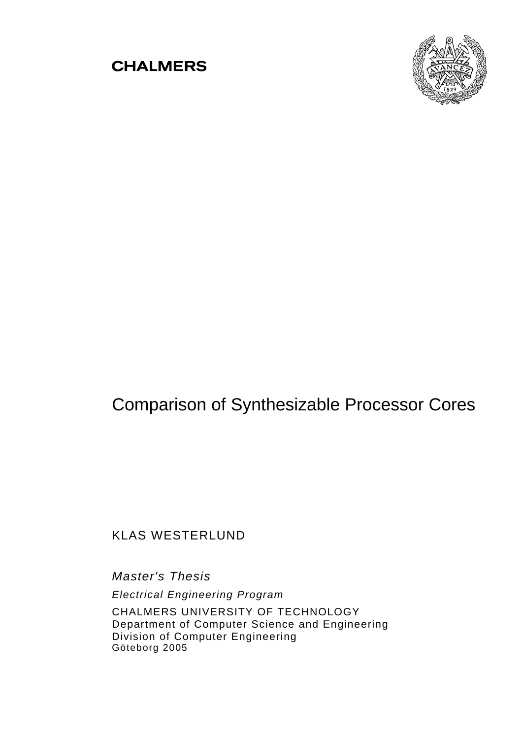# **CHALMERS**



# Comparison of Synthesizable Processor Cores

# KLAS WESTERLUND

*Master's Thesis Electrical Engineering Program*  CHALMERS UNIVERSITY OF TECHNOLOGY Department of Computer Science and Engineering Division of Computer Engineering Göteborg 2005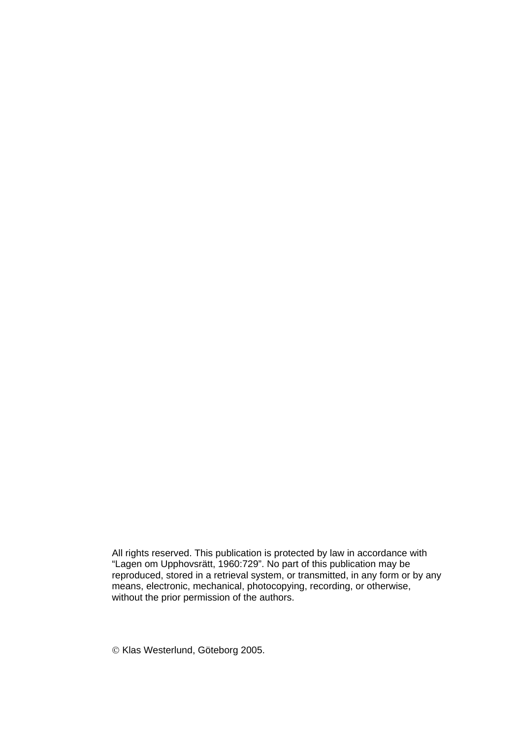All rights reserved. This publication is protected by law in accordance with "Lagen om Upphovsrätt, 1960:729". No part of this publication may be reproduced, stored in a retrieval system, or transmitted, in any form or by any means, electronic, mechanical, photocopying, recording, or otherwise, without the prior permission of the authors.

© Klas Westerlund, Göteborg 2005.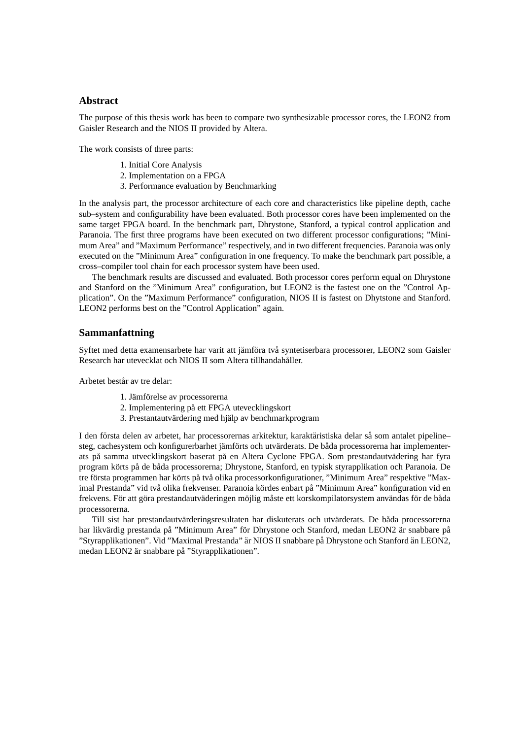## **Abstract**

The purpose of this thesis work has been to compare two synthesizable processor cores, the LEON2 from Gaisler Research and the NIOS II provided by Altera.

The work consists of three parts:

- 1. Initial Core Analysis
- 2. Implementation on a FPGA
- 3. Performance evaluation by Benchmarking

In the analysis part, the processor architecture of each core and characteristics like pipeline depth, cache sub–system and configurability have been evaluated. Both processor cores have been implemented on the same target FPGA board. In the benchmark part, Dhrystone, Stanford, a typical control application and Paranoia. The first three programs have been executed on two different processor configurations; "Minimum Area" and "Maximum Performance" respectively, and in two different frequencies. Paranoia was only executed on the "Minimum Area" configuration in one frequency. To make the benchmark part possible, a cross–compiler tool chain for each processor system have been used.

The benchmark results are discussed and evaluated. Both processor cores perform equal on Dhrystone and Stanford on the "Minimum Area" configuration, but LEON2 is the fastest one on the "Control Application". On the "Maximum Performance" configuration, NIOS II is fastest on Dhytstone and Stanford. LEON2 performs best on the "Control Application" again.

## **Sammanfattning**

Syftet med detta examensarbete har varit att jämföra två syntetiserbara processorer, LEON2 som Gaisler Research har utevecklat och NIOS II som Altera tillhandahåller.

Arbetet består av tre delar:

- 1. Jämförelse av processorerna
- 2. Implementering på ett FPGA utevecklingskort
- 3. Prestantautvärdering med hjälp av benchmarkprogram

I den första delen av arbetet, har processorernas arkitektur, karaktäristiska delar så som antalet pipeline– steg, cachesystem och konfigurerbarhet jämförts och utvärderats. De båda processorerna har implementerats på samma utvecklingskort baserat på en Altera Cyclone FPGA. Som prestandautvädering har fyra program körts på de båda processorerna; Dhrystone, Stanford, en typisk styrapplikation och Paranoia. De tre första programmen har körts på två olika processorkonfigurationer, "Minimum Area" respektive "Maximal Prestanda" vid två olika frekvenser. Paranoia kördes enbart på "Minimum Area" konfiguration vid en frekvens. För att göra prestandautväderingen möjlig måste ett korskompilatorsystem användas för de båda processorerna.

Till sist har prestandautvärderingsresultaten har diskuterats och utvärderats. De båda processorerna har likvärdig prestanda på "Minimum Area" för Dhrystone och Stanford, medan LEON2 är snabbare på "Styrapplikationen". Vid "Maximal Prestanda" är NIOS II snabbare på Dhrystone och Stanford än LEON2, medan LEON2 är snabbare på "Styrapplikationen".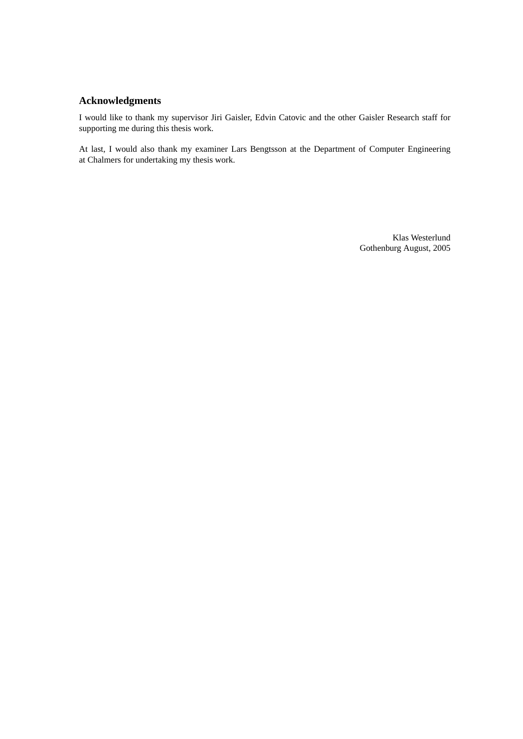## **Acknowledgments**

I would like to thank my supervisor Jiri Gaisler, Edvin Catovic and the other Gaisler Research staff for supporting me during this thesis work.

At last, I would also thank my examiner Lars Bengtsson at the Department of Computer Engineering at Chalmers for undertaking my thesis work.

> Klas Westerlund Gothenburg August, 2005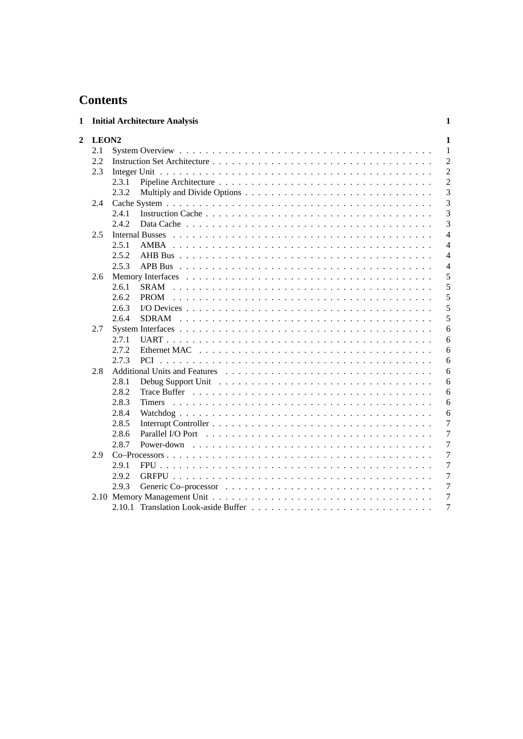# **Contents**

| 1 |                   | <b>Initial Architecture Analysis</b>                                                                                    | 1              |
|---|-------------------|-------------------------------------------------------------------------------------------------------------------------|----------------|
| 2 | LEON <sub>2</sub> |                                                                                                                         | 1              |
|   | 2.1               |                                                                                                                         | 1              |
|   | 2.2               |                                                                                                                         | $\overline{2}$ |
|   | 2.3               |                                                                                                                         | $\overline{2}$ |
|   |                   | 2.3.1                                                                                                                   | $\overline{2}$ |
|   |                   | 2.3.2                                                                                                                   | 3              |
|   | 2.4               |                                                                                                                         | 3              |
|   |                   | 2.4.1                                                                                                                   | 3              |
|   |                   | 2.4.2                                                                                                                   | 3              |
|   | 2.5               | <b>Internal Busses</b>                                                                                                  | 4              |
|   |                   | 2.5.1                                                                                                                   | $\overline{4}$ |
|   |                   | 2.5.2                                                                                                                   | 4              |
|   |                   | 2.5.3                                                                                                                   | $\overline{4}$ |
|   | 2.6               |                                                                                                                         | 5              |
|   |                   | 2.6.1<br><b>SRAM</b>                                                                                                    | 5              |
|   |                   | 2.6.2<br><b>PROM</b>                                                                                                    | 5              |
|   |                   | 2.6.3                                                                                                                   | 5              |
|   |                   | 2.6.4<br><b>SDRAM</b>                                                                                                   | 5              |
|   | 2.7               |                                                                                                                         | 6              |
|   |                   | 2.7.1                                                                                                                   | 6              |
|   |                   | 2.7.2                                                                                                                   | 6              |
|   |                   | 2.7.3<br><b>PCI</b>                                                                                                     | 6              |
|   | 2.8               |                                                                                                                         | 6              |
|   |                   | 2.8.1                                                                                                                   | 6              |
|   |                   | 2.8.2                                                                                                                   | 6              |
|   |                   | 2.8.3<br><b>Timers</b>                                                                                                  | 6              |
|   |                   | 2.8.4                                                                                                                   | 6              |
|   |                   | 2.8.5                                                                                                                   | 7              |
|   |                   | 2.8.6<br>Parallel I/O Port entering the contract of the contract of the contract of the contract of the contract of the | 7              |
|   |                   | 2.8.7<br>Power-down                                                                                                     | 7              |
|   | 2.9               |                                                                                                                         | 7              |
|   |                   | 2.9.1                                                                                                                   | $\overline{7}$ |
|   |                   | 2.9.2                                                                                                                   | 7              |
|   |                   | 2.9.3                                                                                                                   | 7              |
|   |                   |                                                                                                                         | 7              |
|   |                   |                                                                                                                         | 7              |
|   |                   |                                                                                                                         |                |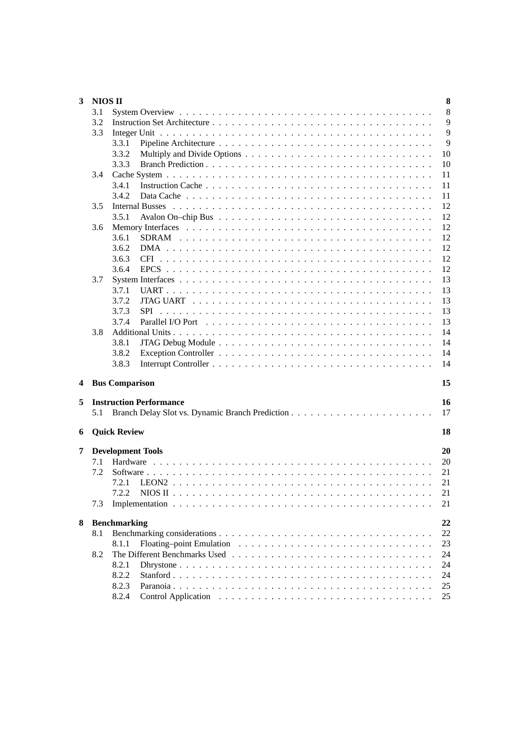| 3 | <b>NIOS II</b> | 8                                    |
|---|----------------|--------------------------------------|
|   | 3.1            | 8                                    |
|   | 3.2            | 9                                    |
|   | 3.3            | 9                                    |
|   |                | 9<br>3.3.1                           |
|   |                | 10<br>3.3.2                          |
|   |                | 10<br>3.3.3                          |
|   | 3.4            | 11                                   |
|   |                | 11<br>3.4.1                          |
|   |                | 11<br>3.4.2                          |
|   | 3.5            | 12                                   |
|   |                | 12<br>3.5.1                          |
|   |                | 12                                   |
|   | 3.6            |                                      |
|   |                | 12<br>3.6.1<br><b>SDRAM</b>          |
|   |                | 12<br>3.6.2                          |
|   |                | 12<br>3.6.3                          |
|   |                | 12<br>3.6.4                          |
|   | 3.7            | 13                                   |
|   |                | 13<br>3.7.1                          |
|   |                | 13<br>3.7.2                          |
|   |                | 13<br>3.7.3<br>SPI                   |
|   |                | 13<br>3.7.4                          |
|   | 3.8            | 14                                   |
|   |                | 14<br>3.8.1                          |
|   |                | 14<br>3.8.2                          |
|   |                | 14<br>3.8.3                          |
|   |                |                                      |
| 4 |                | <b>Bus Comparison</b><br>15          |
| 5 |                | <b>Instruction Performance</b><br>16 |
|   | 5.1            | 17                                   |
|   |                |                                      |
| 6 |                | <b>Quick Review</b><br>18            |
|   |                |                                      |
| 7 |                | 20<br><b>Development Tools</b>       |
|   | 7.1            | 20                                   |
|   | 7.2            | 21                                   |
|   |                | 7.2.1<br>21                          |
|   |                | 7.2.2<br>21                          |
|   | 7.3            | 21                                   |
|   |                |                                      |
| 8 |                | 22<br><b>Benchmarking</b>            |
|   | 8.1            | 22                                   |
|   |                | 23<br>8.1.1                          |
|   | 8.2            | 24                                   |
|   |                | 24<br>8.2.1                          |
|   |                | 24<br>8.2.2                          |
|   |                | 8.2.3<br>25                          |
|   |                | 25<br>8.2.4                          |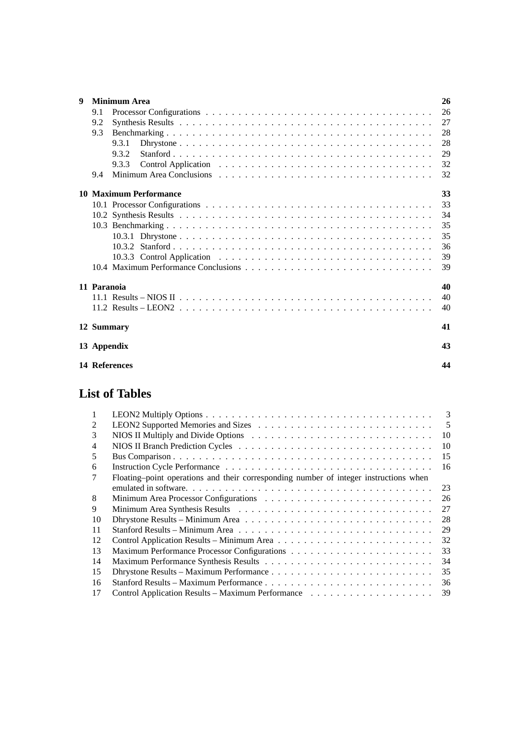| $\boldsymbol{Q}$ |             | <b>Minimum Area</b>           | 26 |
|------------------|-------------|-------------------------------|----|
|                  | 9.1         |                               | 26 |
|                  | 9.2         |                               | 27 |
|                  | 9.3         |                               | 28 |
|                  |             | 9.3.1                         | 28 |
|                  |             | 9.3.2                         | 29 |
|                  |             | 9.3.3                         | 32 |
|                  | 9.4         |                               | 32 |
|                  |             | <b>10 Maximum Performance</b> | 33 |
|                  |             |                               | 33 |
|                  |             |                               | 34 |
|                  |             |                               | 35 |
|                  |             |                               | 35 |
|                  |             |                               | 36 |
|                  |             |                               | 39 |
|                  |             |                               | 39 |
|                  | 11 Paranoia |                               | 40 |
|                  |             |                               | 40 |
|                  |             |                               | 40 |
|                  |             | 12 Summary                    | 41 |
|                  |             | 13 Appendix                   | 43 |
|                  |             | 14 References                 | 44 |

# **List of Tables**

| 1              | 3                                                                                     |
|----------------|---------------------------------------------------------------------------------------|
| $\mathfrak{D}$ | 5                                                                                     |
| 3              | 10                                                                                    |
| 4              | 10                                                                                    |
| 5              | 15                                                                                    |
| 6              | 16                                                                                    |
|                | Floating-point operations and their corresponding number of integer instructions when |
|                | 23                                                                                    |
| 8              | 26                                                                                    |
| 9              | 27                                                                                    |
| 10             | 28                                                                                    |
| 11             | 29                                                                                    |
| 12             | 32                                                                                    |
| 13             | 33                                                                                    |
| 14             | 34                                                                                    |
| 15             | 35                                                                                    |
| 16             | 36                                                                                    |
| 17             | 39                                                                                    |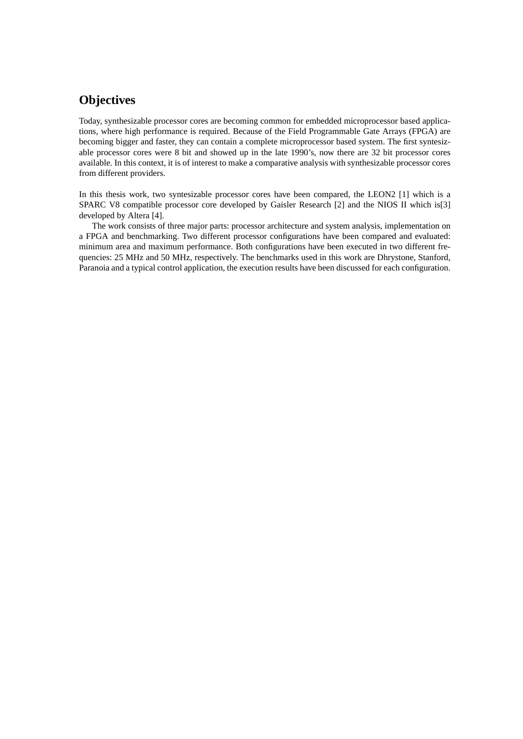# **Objectives**

Today, synthesizable processor cores are becoming common for embedded microprocessor based applications, where high performance is required. Because of the Field Programmable Gate Arrays (FPGA) are becoming bigger and faster, they can contain a complete microprocessor based system. The first syntesizable processor cores were 8 bit and showed up in the late 1990's, now there are 32 bit processor cores available. In this context, it is of interest to make a comparative analysis with synthesizable processor cores from different providers.

In this thesis work, two syntesizable processor cores have been compared, the LEON2 [\[1\]](#page-51-1) which is a SPARC V8 compatible processor core developed by Gaisler Research [\[2\]](#page-51-2) and the NIOS II which is[\[3\]](#page-51-3) developed by Altera [\[4\]](#page-51-4).

The work consists of three major parts: processor architecture and system analysis, implementation on a FPGA and benchmarking. Two different processor configurations have been compared and evaluated: minimum area and maximum performance. Both configurations have been executed in two different frequencies: 25 MHz and 50 MHz, respectively. The benchmarks used in this work are Dhrystone, Stanford, Paranoia and a typical control application, the execution results have been discussed for each configuration.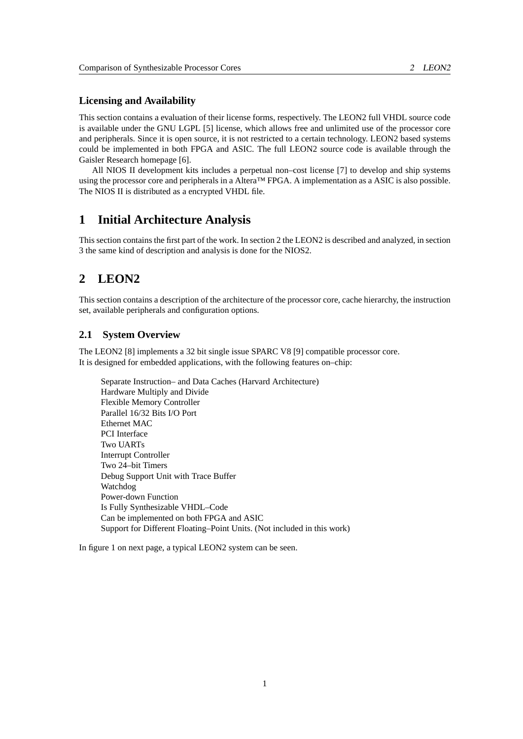## **Licensing and Availability**

This section contains a evaluation of their license forms, respectively. The LEON2 full VHDL source code is available under the GNU LGPL [\[5\]](#page-51-5) license, which allows free and unlimited use of the processor core and peripherals. Since it is open source, it is not restricted to a certain technology. LEON2 based systems could be implemented in both FPGA and ASIC. The full LEON2 source code is available through the Gaisler Research homepage [\[6\]](#page-51-6).

All NIOS II development kits includes a perpetual non–cost license [\[7\]](#page-51-7) to develop and ship systems using the processor core and peripherals in a Altera™ FPGA. A implementation as a ASIC is also possible. The NIOS II is distributed as a encrypted VHDL file.

## <span id="page-8-0"></span>**1 Initial Architecture Analysis**

This section contains the first part of the work. In section [2](#page-8-1) the LEON2 is described and analyzed, in section [3](#page-15-0) the same kind of description and analysis is done for the NIOS2.

# <span id="page-8-1"></span>**2 LEON2**

This section contains a description of the architecture of the processor core, cache hierarchy, the instruction set, available peripherals and configuration options.

## <span id="page-8-2"></span>**2.1 System Overview**

The LEON2 [\[8\]](#page-51-8) implements a 32 bit single issue SPARC V8 [\[9\]](#page-51-9) compatible processor core. It is designed for embedded applications, with the following features on–chip:

Separate Instruction– and Data Caches (Harvard Architecture) Hardware Multiply and Divide Flexible Memory Controller Parallel 16/32 Bits I/O Port Ethernet MAC PCI Interface Two UARTs Interrupt Controller Two 24–bit Timers Debug Support Unit with Trace Buffer Watchdog Power-down Function Is Fully Synthesizable VHDL–Code Can be implemented on both FPGA and ASIC Support for Different Floating–Point Units. (Not included in this work)

In figure [1](#page-9-3) on next page, a typical LEON2 system can be seen.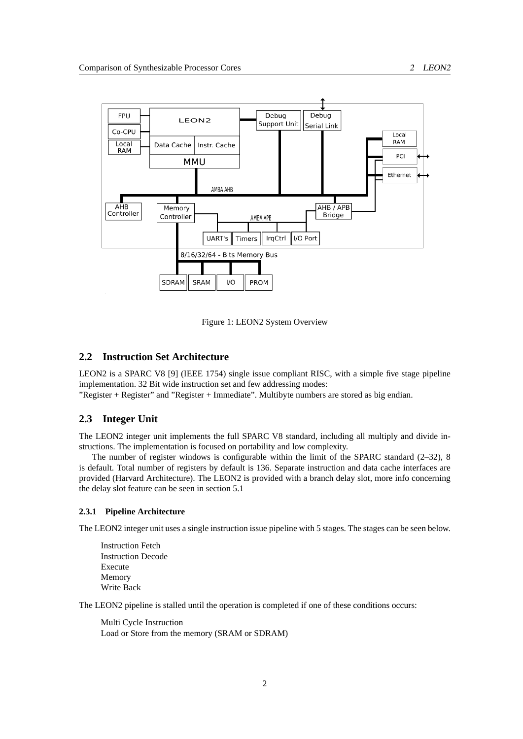

<span id="page-9-3"></span>Figure 1: LEON2 System Overview

## <span id="page-9-0"></span>**2.2 Instruction Set Architecture**

LEON2 is a SPARC V8 [\[9\]](#page-51-9) (IEEE 1754) single issue compliant RISC, with a simple five stage pipeline implementation. 32 Bit wide instruction set and few addressing modes:

"Register + Register" and "Register + Immediate". Multibyte numbers are stored as big endian.

## <span id="page-9-1"></span>**2.3 Integer Unit**

The LEON2 integer unit implements the full SPARC V8 standard, including all multiply and divide instructions. The implementation is focused on portability and low complexity.

The number of register windows is configurable within the limit of the SPARC standard (2–32), 8 is default. Total number of registers by default is 136. Separate instruction and data cache interfaces are provided (Harvard Architecture). The LEON2 is provided with a branch delay slot, more info concerning the delay slot feature can be seen in section [5.1](#page-24-0)

#### <span id="page-9-2"></span>**2.3.1 Pipeline Architecture**

The LEON2 integer unit uses a single instruction issue pipeline with 5 stages. The stages can be seen below.

Instruction Fetch Instruction Decode Execute Memory Write Back

The LEON2 pipeline is stalled until the operation is completed if one of these conditions occurs:

Multi Cycle Instruction Load or Store from the memory (SRAM or SDRAM)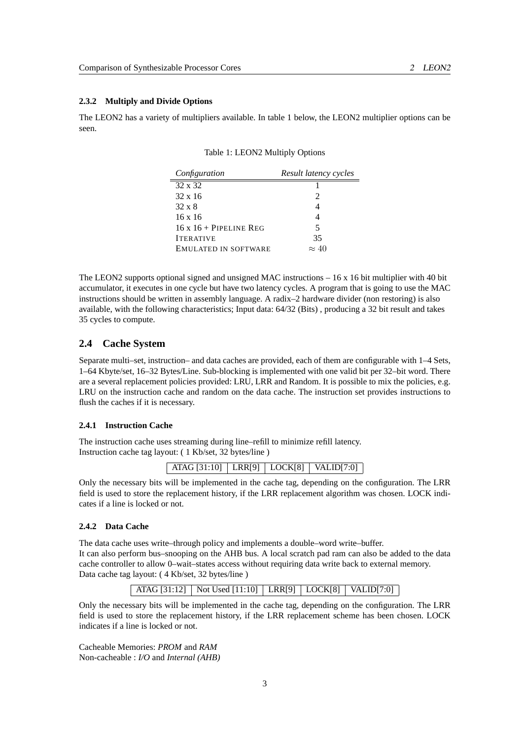## <span id="page-10-0"></span>**2.3.2 Multiply and Divide Options**

The LEON2 has a variety of multipliers available. In table [1](#page-10-4) below, the LEON2 multiplier options can be seen.

<span id="page-10-4"></span>Table 1: LEON2 Multiply Options

| Configuration               | Result latency cycles |
|-----------------------------|-----------------------|
| $32 \times 32$              |                       |
| $32 \times 16$              | 2                     |
| $32 \times 8$               |                       |
| $16 \times 16$              |                       |
| $16x16 +$ PIPELINE REG      | 5                     |
| <b>ITERATIVE</b>            | 35                    |
| <b>EMULATED IN SOFTWARE</b> | $\approx 40$          |

The LEON2 supports optional signed and unsigned MAC instructions – 16 x 16 bit multiplier with 40 bit accumulator, it executes in one cycle but have two latency cycles. A program that is going to use the MAC instructions should be written in assembly language. A radix–2 hardware divider (non restoring) is also available, with the following characteristics; Input data: 64/32 (Bits) , producing a 32 bit result and takes 35 cycles to compute.

## <span id="page-10-1"></span>**2.4 Cache System**

Separate multi–set, instruction– and data caches are provided, each of them are configurable with 1–4 Sets, 1–64 Kbyte/set, 16–32 Bytes/Line. Sub-blocking is implemented with one valid bit per 32–bit word. There are a several replacement policies provided: LRU, LRR and Random. It is possible to mix the policies, e.g. LRU on the instruction cache and random on the data cache. The instruction set provides instructions to flush the caches if it is necessary.

#### <span id="page-10-2"></span>**2.4.1 Instruction Cache**

The instruction cache uses streaming during line–refill to minimize refill latency. Instruction cache tag layout: ( 1 Kb/set, 32 bytes/line )

ATAG [31:10] LRR[9] LOCK[8] VALID[7:0]

Only the necessary bits will be implemented in the cache tag, depending on the configuration. The LRR field is used to store the replacement history, if the LRR replacement algorithm was chosen. LOCK indicates if a line is locked or not.

## <span id="page-10-3"></span>**2.4.2 Data Cache**

The data cache uses write–through policy and implements a double–word write–buffer. It can also perform bus–snooping on the AHB bus. A local scratch pad ram can also be added to the data cache controller to allow 0–wait–states access without requiring data write back to external memory. Data cache tag layout: ( 4 Kb/set, 32 bytes/line )

ATAG [31:12] | Not Used [11:10] | LRR[9] | LOCK[8] | VALID[7:0]

Only the necessary bits will be implemented in the cache tag, depending on the configuration. The LRR field is used to store the replacement history, if the LRR replacement scheme has been chosen. LOCK indicates if a line is locked or not.

3

Cacheable Memories: *PROM* and *RAM* Non-cacheable : *I/O* and *Internal (AHB)*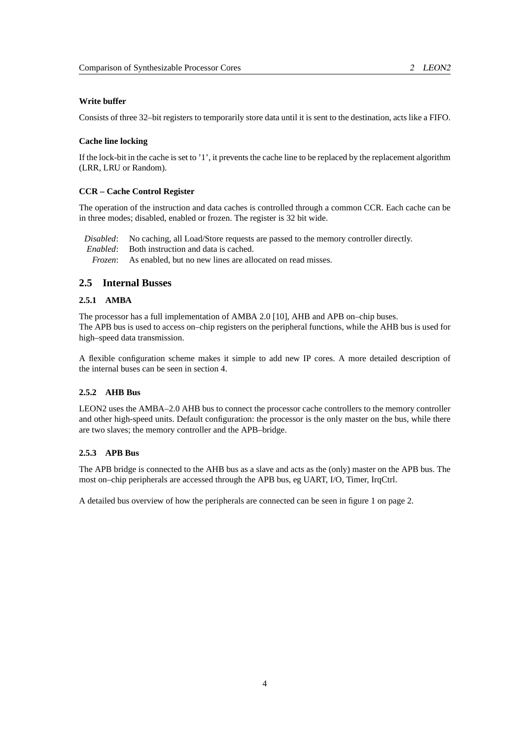#### **Write buffer**

Consists of three 32–bit registers to temporarily store data until it is sent to the destination, acts like a FIFO.

#### **Cache line locking**

If the lock-bit in the cache is set to '1', it prevents the cache line to be replaced by the replacement algorithm (LRR, LRU or Random).

#### **CCR – Cache Control Register**

The operation of the instruction and data caches is controlled through a common CCR. Each cache can be in three modes; disabled, enabled or frozen. The register is 32 bit wide.

*Disabled*: No caching, all Load/Store requests are passed to the memory controller directly. *Enabled*: Both instruction and data is cached. *Frozen*: As enabled, but no new lines are allocated on read misses.

## <span id="page-11-0"></span>**2.5 Internal Busses**

#### <span id="page-11-1"></span>**2.5.1 AMBA**

The processor has a full implementation of AMBA 2.0 [\[10\]](#page-52-0), AHB and APB on–chip buses. The APB bus is used to access on–chip registers on the peripheral functions, while the AHB bus is used for high–speed data transmission.

A flexible configuration scheme makes it simple to add new IP cores. A more detailed description of the internal buses can be seen in section [4.](#page-22-0)

## <span id="page-11-2"></span>**2.5.2 AHB Bus**

LEON2 uses the AMBA–2.0 AHB bus to connect the processor cache controllers to the memory controller and other high-speed units. Default configuration: the processor is the only master on the bus, while there are two slaves; the memory controller and the APB–bridge.

#### <span id="page-11-3"></span>**2.5.3 APB Bus**

The APB bridge is connected to the AHB bus as a slave and acts as the (only) master on the APB bus. The most on–chip peripherals are accessed through the APB bus, eg UART, I/O, Timer, IrqCtrl.

A detailed bus overview of how the peripherals are connected can be seen in figure [1](#page-9-3) on page 2.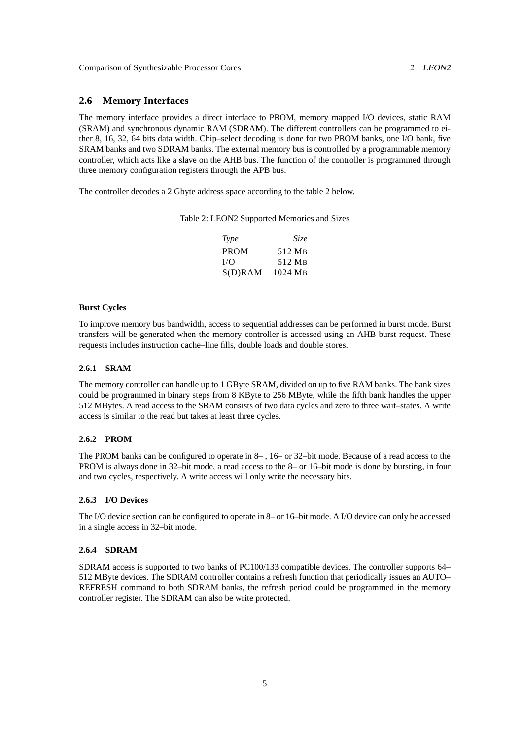## <span id="page-12-0"></span>**2.6 Memory Interfaces**

The memory interface provides a direct interface to PROM, memory mapped I/O devices, static RAM (SRAM) and synchronous dynamic RAM (SDRAM). The different controllers can be programmed to either 8, 16, 32, 64 bits data width. Chip–select decoding is done for two PROM banks, one I/O bank, five SRAM banks and two SDRAM banks. The external memory bus is controlled by a programmable memory controller, which acts like a slave on the AHB bus. The function of the controller is programmed through three memory configuration registers through the APB bus.

The controller decodes a 2 Gbyte address space according to the table [2](#page-12-5) below.

Table 2: LEON2 Supported Memories and Sizes

<span id="page-12-5"></span>

| Type        | Size    |
|-------------|---------|
| <b>PROM</b> | 512 MB  |
| I/O         | 512 MB  |
| $S(D)$ RAM  | 1024 MB |

#### **Burst Cycles**

To improve memory bus bandwidth, access to sequential addresses can be performed in burst mode. Burst transfers will be generated when the memory controller is accessed using an AHB burst request. These requests includes instruction cache–line fills, double loads and double stores.

#### <span id="page-12-1"></span>**2.6.1 SRAM**

The memory controller can handle up to 1 GByte SRAM, divided on up to five RAM banks. The bank sizes could be programmed in binary steps from 8 KByte to 256 MByte, while the fifth bank handles the upper 512 MBytes. A read access to the SRAM consists of two data cycles and zero to three wait–states. A write access is similar to the read but takes at least three cycles.

#### <span id="page-12-2"></span>**2.6.2 PROM**

The PROM banks can be configured to operate in 8– , 16– or 32–bit mode. Because of a read access to the PROM is always done in 32–bit mode, a read access to the 8– or 16–bit mode is done by bursting, in four and two cycles, respectively. A write access will only write the necessary bits.

#### <span id="page-12-3"></span>**2.6.3 I/O Devices**

The I/O device section can be configured to operate in 8– or 16–bit mode. A I/O device can only be accessed in a single access in 32–bit mode.

#### <span id="page-12-4"></span>**2.6.4 SDRAM**

SDRAM access is supported to two banks of PC100/133 compatible devices. The controller supports 64– 512 MByte devices. The SDRAM controller contains a refresh function that periodically issues an AUTO– REFRESH command to both SDRAM banks, the refresh period could be programmed in the memory controller register. The SDRAM can also be write protected.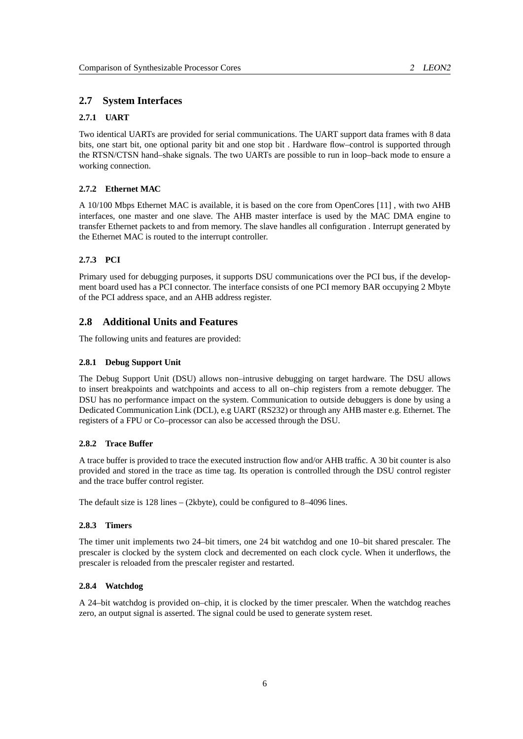## <span id="page-13-0"></span>**2.7 System Interfaces**

#### <span id="page-13-1"></span>**2.7.1 UART**

Two identical UARTs are provided for serial communications. The UART support data frames with 8 data bits, one start bit, one optional parity bit and one stop bit . Hardware flow–control is supported through the RTSN/CTSN hand–shake signals. The two UARTs are possible to run in loop–back mode to ensure a working connection.

#### <span id="page-13-2"></span>**2.7.2 Ethernet MAC**

A 10/100 Mbps Ethernet MAC is available, it is based on the core from OpenCores [\[11\]](#page-52-1) , with two AHB interfaces, one master and one slave. The AHB master interface is used by the MAC DMA engine to transfer Ethernet packets to and from memory. The slave handles all configuration . Interrupt generated by the Ethernet MAC is routed to the interrupt controller.

#### <span id="page-13-3"></span>**2.7.3 PCI**

Primary used for debugging purposes, it supports DSU communications over the PCI bus, if the development board used has a PCI connector. The interface consists of one PCI memory BAR occupying 2 Mbyte of the PCI address space, and an AHB address register.

## <span id="page-13-4"></span>**2.8 Additional Units and Features**

The following units and features are provided:

#### <span id="page-13-5"></span>**2.8.1 Debug Support Unit**

The Debug Support Unit (DSU) allows non–intrusive debugging on target hardware. The DSU allows to insert breakpoints and watchpoints and access to all on–chip registers from a remote debugger. The DSU has no performance impact on the system. Communication to outside debuggers is done by using a Dedicated Communication Link (DCL), e.g UART (RS232) or through any AHB master e.g. Ethernet. The registers of a FPU or Co–processor can also be accessed through the DSU.

#### <span id="page-13-6"></span>**2.8.2 Trace Buffer**

A trace buffer is provided to trace the executed instruction flow and/or AHB traffic. A 30 bit counter is also provided and stored in the trace as time tag. Its operation is controlled through the DSU control register and the trace buffer control register.

The default size is 128 lines – (2kbyte), could be configured to 8–4096 lines.

#### <span id="page-13-7"></span>**2.8.3 Timers**

The timer unit implements two 24–bit timers, one 24 bit watchdog and one 10–bit shared prescaler. The prescaler is clocked by the system clock and decremented on each clock cycle. When it underflows, the prescaler is reloaded from the prescaler register and restarted.

#### <span id="page-13-8"></span>**2.8.4 Watchdog**

A 24–bit watchdog is provided on–chip, it is clocked by the timer prescaler. When the watchdog reaches zero, an output signal is asserted. The signal could be used to generate system reset.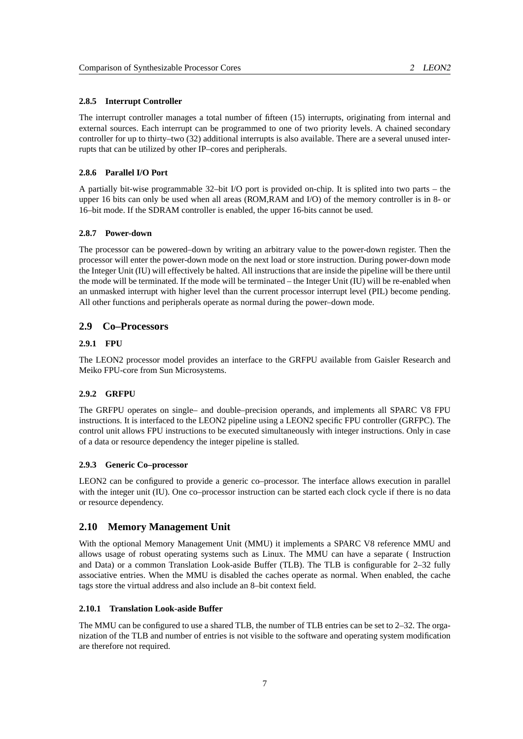#### <span id="page-14-0"></span>**2.8.5 Interrupt Controller**

The interrupt controller manages a total number of fifteen (15) interrupts, originating from internal and external sources. Each interrupt can be programmed to one of two priority levels. A chained secondary controller for up to thirty–two (32) additional interrupts is also available. There are a several unused interrupts that can be utilized by other IP–cores and peripherals.

## <span id="page-14-1"></span>**2.8.6 Parallel I/O Port**

A partially bit-wise programmable 32–bit I/O port is provided on-chip. It is splited into two parts – the upper 16 bits can only be used when all areas (ROM,RAM and I/O) of the memory controller is in 8- or 16–bit mode. If the SDRAM controller is enabled, the upper 16-bits cannot be used.

#### <span id="page-14-2"></span>**2.8.7 Power-down**

The processor can be powered–down by writing an arbitrary value to the power-down register. Then the processor will enter the power-down mode on the next load or store instruction. During power-down mode the Integer Unit (IU) will effectively be halted. All instructions that are inside the pipeline will be there until the mode will be terminated. If the mode will be terminated – the Integer Unit (IU) will be re-enabled when an unmasked interrupt with higher level than the current processor interrupt level (PIL) become pending. All other functions and peripherals operate as normal during the power–down mode.

#### <span id="page-14-3"></span>**2.9 Co–Processors**

## <span id="page-14-4"></span>**2.9.1 FPU**

The LEON2 processor model provides an interface to the GRFPU available from Gaisler Research and Meiko FPU-core from Sun Microsystems.

#### <span id="page-14-5"></span>**2.9.2 GRFPU**

The GRFPU operates on single– and double–precision operands, and implements all SPARC V8 FPU instructions. It is interfaced to the LEON2 pipeline using a LEON2 specific FPU controller (GRFPC). The control unit allows FPU instructions to be executed simultaneously with integer instructions. Only in case of a data or resource dependency the integer pipeline is stalled.

#### <span id="page-14-6"></span>**2.9.3 Generic Co–processor**

LEON2 can be configured to provide a generic co–processor. The interface allows execution in parallel with the integer unit (IU). One co–processor instruction can be started each clock cycle if there is no data or resource dependency.

#### <span id="page-14-7"></span>**2.10 Memory Management Unit**

With the optional Memory Management Unit (MMU) it implements a SPARC V8 reference MMU and allows usage of robust operating systems such as Linux. The MMU can have a separate ( Instruction and Data) or a common Translation Look-aside Buffer (TLB). The TLB is configurable for 2–32 fully associative entries. When the MMU is disabled the caches operate as normal. When enabled, the cache tags store the virtual address and also include an 8–bit context field.

## <span id="page-14-8"></span>**2.10.1 Translation Look-aside Buffer**

The MMU can be configured to use a shared TLB, the number of TLB entries can be set to 2–32. The organization of the TLB and number of entries is not visible to the software and operating system modification are therefore not required.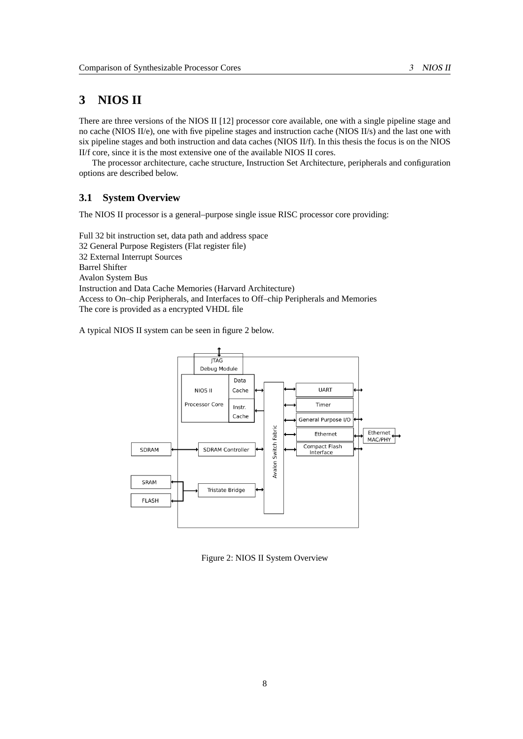# <span id="page-15-0"></span>**3 NIOS II**

There are three versions of the NIOS II [\[12\]](#page-52-2) processor core available, one with a single pipeline stage and no cache (NIOS II/e), one with five pipeline stages and instruction cache (NIOS II/s) and the last one with six pipeline stages and both instruction and data caches (NIOS II/f). In this thesis the focus is on the NIOS II/f core, since it is the most extensive one of the available NIOS II cores.

The processor architecture, cache structure, Instruction Set Architecture, peripherals and configuration options are described below.

## <span id="page-15-1"></span>**3.1 System Overview**

The NIOS II processor is a general–purpose single issue RISC processor core providing:

Full 32 bit instruction set, data path and address space 32 General Purpose Registers (Flat register file) 32 External Interrupt Sources Barrel Shifter Avalon System Bus Instruction and Data Cache Memories (Harvard Architecture) Access to On–chip Peripherals, and Interfaces to Off–chip Peripherals and Memories The core is provided as a encrypted VHDL file

A typical NIOS II system can be seen in figure [2](#page-15-2) below.



<span id="page-15-2"></span>Figure 2: NIOS II System Overview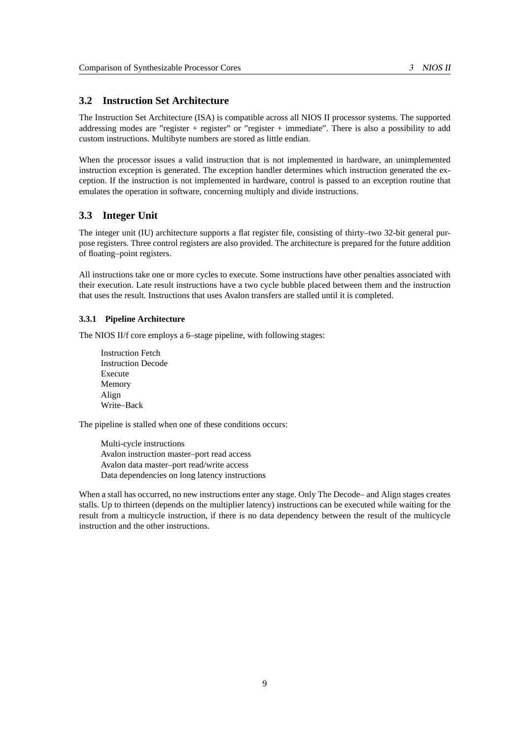## <span id="page-16-0"></span>**3.2 Instruction Set Architecture**

The Instruction Set Architecture (ISA) is compatible across all NIOS II processor systems. The supported addressing modes are "register + register" or "register + immediate". There is also a possibility to add custom instructions. Multibyte numbers are stored as little endian.

When the processor issues a valid instruction that is not implemented in hardware, an unimplemented instruction exception is generated. The exception handler determines which instruction generated the exception. If the instruction is not implemented in hardware, control is passed to an exception routine that emulates the operation in software, concerning multiply and divide instructions.

## <span id="page-16-1"></span>**3.3 Integer Unit**

The integer unit (IU) architecture supports a flat register file, consisting of thirty–two 32-bit general purpose registers. Three control registers are also provided. The architecture is prepared for the future addition of floating–point registers.

All instructions take one or more cycles to execute. Some instructions have other penalties associated with their execution. Late result instructions have a two cycle bubble placed between them and the instruction that uses the result. Instructions that uses Avalon transfers are stalled until it is completed.

#### <span id="page-16-2"></span>**3.3.1 Pipeline Architecture**

The NIOS II/f core employs a 6–stage pipeline, with following stages:

Instruction Fetch Instruction Decode Execute Memory Align Write–Back

The pipeline is stalled when one of these conditions occurs:

Multi-cycle instructions Avalon instruction master–port read access Avalon data master–port read/write access Data dependencies on long latency instructions

When a stall has occurred, no new instructions enter any stage. Only The Decode– and Align stages creates stalls. Up to thirteen (depends on the multiplier latency) instructions can be executed while waiting for the result from a multicycle instruction, if there is no data dependency between the result of the multicycle instruction and the other instructions.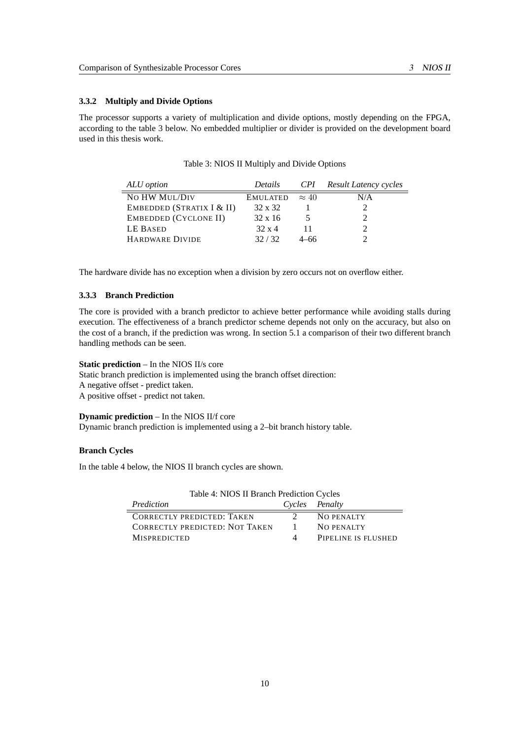## <span id="page-17-0"></span>**3.3.2 Multiply and Divide Options**

The processor supports a variety of multiplication and divide options, mostly depending on the FPGA, according to the table [3](#page-17-2) below. No embedded multiplier or divider is provided on the development board used in this thesis work.

| ALU option                | <i>Details</i>        |      | <b>CPI</b> Result Latency cycles |
|---------------------------|-----------------------|------|----------------------------------|
| NO HW MUL/DIV             | EMULATED $\approx 40$ |      | N/A                              |
| EMBEDDED (STRATIX I & II) | 32 x 32               |      |                                  |
| EMBEDDED (CYCLONE II)     | $32 \times 16$        |      |                                  |
| LE BASED                  | $32 \times 4$         |      |                                  |
| <b>HARDWARE DIVIDE</b>    | 32/32                 | 4–66 |                                  |

<span id="page-17-2"></span>

| Table 3: NIOS II Multiply and Divide Options |  |  |  |
|----------------------------------------------|--|--|--|
|----------------------------------------------|--|--|--|

The hardware divide has no exception when a division by zero occurs not on overflow either.

## <span id="page-17-1"></span>**3.3.3 Branch Prediction**

The core is provided with a branch predictor to achieve better performance while avoiding stalls during execution. The effectiveness of a branch predictor scheme depends not only on the accuracy, but also on the cost of a branch, if the prediction was wrong. In section [5.1](#page-24-0) a comparison of their two different branch handling methods can be seen.

#### **Static prediction** – In the NIOS II/s core

Static branch prediction is implemented using the branch offset direction: A negative offset - predict taken.

A positive offset - predict not taken.

## **Dynamic prediction** – In the NIOS II/f core

Dynamic branch prediction is implemented using a 2–bit branch history table.

#### **Branch Cycles**

In the table [4](#page-17-3) below, the NIOS II branch cycles are shown.

| Table 4: NIOS II Branch Prediction Cycles |               |                     |
|-------------------------------------------|---------------|---------------------|
| Prediction                                |               | Cycles Penalty      |
| <b>CORRECTLY PREDICTED: TAKEN</b>         | $\mathcal{D}$ | NO PENALTY          |
| <b>CORRECTLY PREDICTED: NOT TAKEN</b>     |               | NO PENALTY          |
| <b>MISPREDICTED</b>                       | 4             | PIPELINE IS FLUSHED |

# <span id="page-17-3"></span> $T$  11  $\pm$  NIOS II Branch Prediction Cycle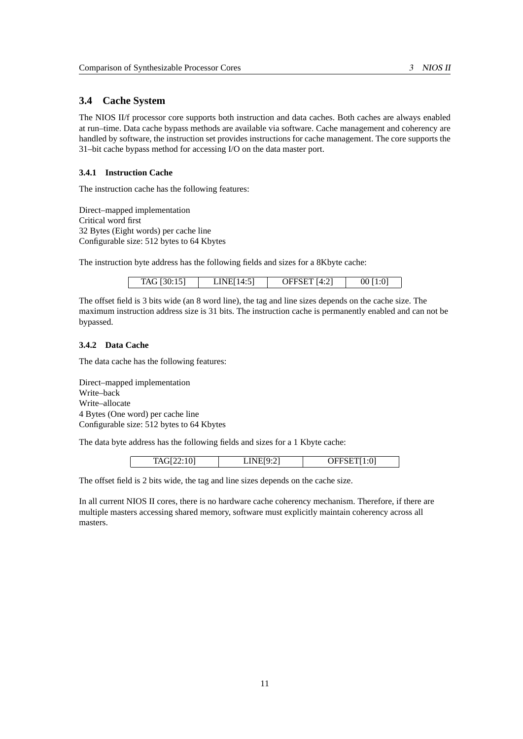## <span id="page-18-0"></span>**3.4 Cache System**

The NIOS II/f processor core supports both instruction and data caches. Both caches are always enabled at run–time. Data cache bypass methods are available via software. Cache management and coherency are handled by software, the instruction set provides instructions for cache management. The core supports the 31–bit cache bypass method for accessing I/O on the data master port.

## <span id="page-18-1"></span>**3.4.1 Instruction Cache**

The instruction cache has the following features:

Direct–mapped implementation Critical word first 32 Bytes (Eight words) per cache line Configurable size: 512 bytes to 64 Kbytes

The instruction byte address has the following fields and sizes for a 8Kbyte cache:

| TAG [30:15] | LINE[14:5] | OFFSET [4:2] | $00$ [1:0] |
|-------------|------------|--------------|------------|
|             |            |              |            |

The offset field is 3 bits wide (an 8 word line), the tag and line sizes depends on the cache size. The maximum instruction address size is 31 bits. The instruction cache is permanently enabled and can not be bypassed.

## <span id="page-18-2"></span>**3.4.2 Data Cache**

The data cache has the following features:

Direct–mapped implementation Write–back Write–allocate 4 Bytes (One word) per cache line Configurable size: 512 bytes to 64 Kbytes

The data byte address has the following fields and sizes for a 1 Kbyte cache:

| $LINE[9^{\cdot \gamma}]$<br>OFFSET[1:0]<br>$T\Delta G$<br>111012210 |
|---------------------------------------------------------------------|
|---------------------------------------------------------------------|

The offset field is 2 bits wide, the tag and line sizes depends on the cache size.

In all current NIOS II cores, there is no hardware cache coherency mechanism. Therefore, if there are multiple masters accessing shared memory, software must explicitly maintain coherency across all masters.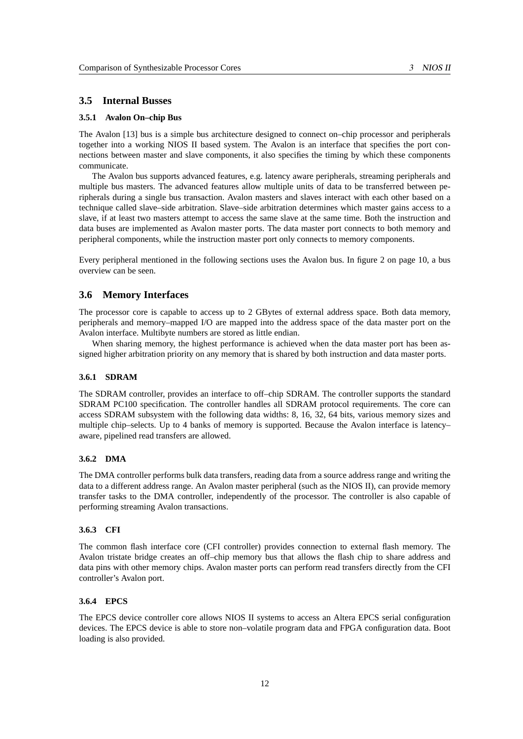## <span id="page-19-0"></span>**3.5 Internal Busses**

#### <span id="page-19-1"></span>**3.5.1 Avalon On–chip Bus**

The Avalon [\[13\]](#page-52-3) bus is a simple bus architecture designed to connect on–chip processor and peripherals together into a working NIOS II based system. The Avalon is an interface that specifies the port connections between master and slave components, it also specifies the timing by which these components communicate.

The Avalon bus supports advanced features, e.g. latency aware peripherals, streaming peripherals and multiple bus masters. The advanced features allow multiple units of data to be transferred between peripherals during a single bus transaction. Avalon masters and slaves interact with each other based on a technique called slave–side arbitration. Slave–side arbitration determines which master gains access to a slave, if at least two masters attempt to access the same slave at the same time. Both the instruction and data buses are implemented as Avalon master ports. The data master port connects to both memory and peripheral components, while the instruction master port only connects to memory components.

Every peripheral mentioned in the following sections uses the Avalon bus. In figure [2](#page-15-2) on page 10, a bus overview can be seen.

## <span id="page-19-2"></span>**3.6 Memory Interfaces**

The processor core is capable to access up to 2 GBytes of external address space. Both data memory, peripherals and memory–mapped I/O are mapped into the address space of the data master port on the Avalon interface. Multibyte numbers are stored as little endian.

When sharing memory, the highest performance is achieved when the data master port has been assigned higher arbitration priority on any memory that is shared by both instruction and data master ports.

#### <span id="page-19-3"></span>**3.6.1 SDRAM**

The SDRAM controller, provides an interface to off–chip SDRAM. The controller supports the standard SDRAM PC100 specification. The controller handles all SDRAM protocol requirements. The core can access SDRAM subsystem with the following data widths: 8, 16, 32, 64 bits, various memory sizes and multiple chip–selects. Up to 4 banks of memory is supported. Because the Avalon interface is latency– aware, pipelined read transfers are allowed.

## <span id="page-19-4"></span>**3.6.2 DMA**

The DMA controller performs bulk data transfers, reading data from a source address range and writing the data to a different address range. An Avalon master peripheral (such as the NIOS II), can provide memory transfer tasks to the DMA controller, independently of the processor. The controller is also capable of performing streaming Avalon transactions.

#### <span id="page-19-5"></span>**3.6.3 CFI**

The common flash interface core (CFI controller) provides connection to external flash memory. The Avalon tristate bridge creates an off–chip memory bus that allows the flash chip to share address and data pins with other memory chips. Avalon master ports can perform read transfers directly from the CFI controller's Avalon port.

## <span id="page-19-6"></span>**3.6.4 EPCS**

The EPCS device controller core allows NIOS II systems to access an Altera EPCS serial configuration devices. The EPCS device is able to store non–volatile program data and FPGA configuration data. Boot loading is also provided.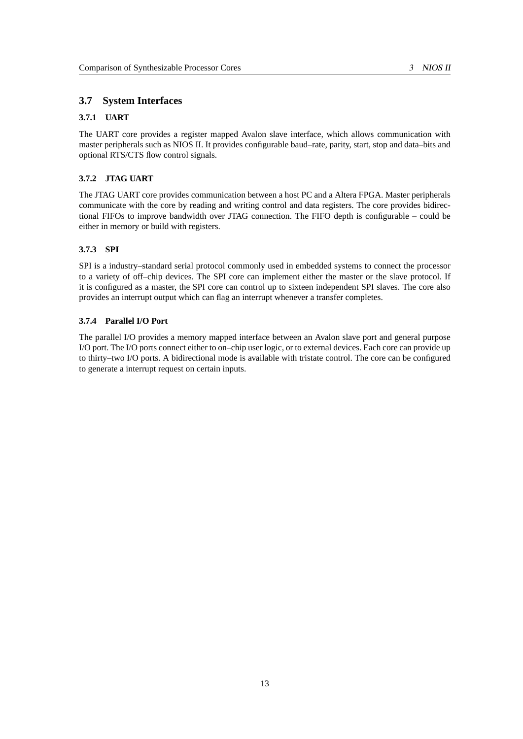## <span id="page-20-0"></span>**3.7 System Interfaces**

#### <span id="page-20-1"></span>**3.7.1 UART**

The UART core provides a register mapped Avalon slave interface, which allows communication with master peripherals such as NIOS II. It provides configurable baud–rate, parity, start, stop and data–bits and optional RTS/CTS flow control signals.

## <span id="page-20-2"></span>**3.7.2 JTAG UART**

The JTAG UART core provides communication between a host PC and a Altera FPGA. Master peripherals communicate with the core by reading and writing control and data registers. The core provides bidirectional FIFOs to improve bandwidth over JTAG connection. The FIFO depth is configurable – could be either in memory or build with registers.

## <span id="page-20-3"></span>**3.7.3 SPI**

SPI is a industry–standard serial protocol commonly used in embedded systems to connect the processor to a variety of off–chip devices. The SPI core can implement either the master or the slave protocol. If it is configured as a master, the SPI core can control up to sixteen independent SPI slaves. The core also provides an interrupt output which can flag an interrupt whenever a transfer completes.

## <span id="page-20-4"></span>**3.7.4 Parallel I/O Port**

The parallel I/O provides a memory mapped interface between an Avalon slave port and general purpose I/O port. The I/O ports connect either to on–chip user logic, or to external devices. Each core can provide up to thirty–two I/O ports. A bidirectional mode is available with tristate control. The core can be configured to generate a interrupt request on certain inputs.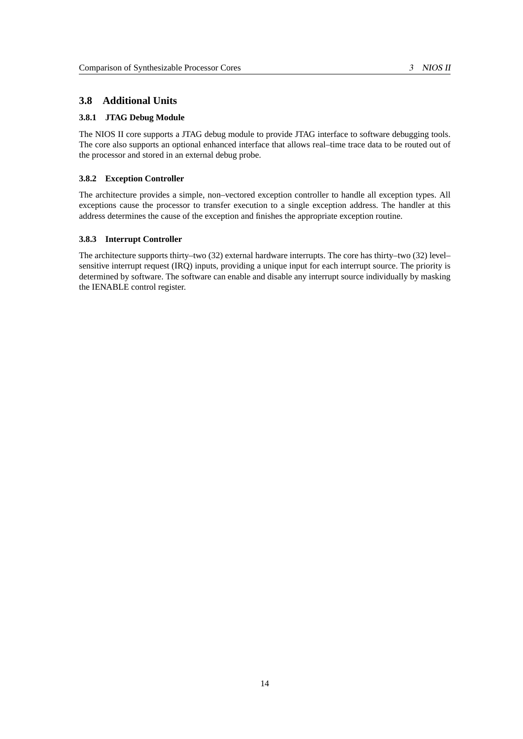## <span id="page-21-0"></span>**3.8 Additional Units**

#### <span id="page-21-1"></span>**3.8.1 JTAG Debug Module**

The NIOS II core supports a JTAG debug module to provide JTAG interface to software debugging tools. The core also supports an optional enhanced interface that allows real–time trace data to be routed out of the processor and stored in an external debug probe.

## <span id="page-21-2"></span>**3.8.2 Exception Controller**

The architecture provides a simple, non–vectored exception controller to handle all exception types. All exceptions cause the processor to transfer execution to a single exception address. The handler at this address determines the cause of the exception and finishes the appropriate exception routine.

## <span id="page-21-3"></span>**3.8.3 Interrupt Controller**

The architecture supports thirty–two (32) external hardware interrupts. The core has thirty–two (32) level– sensitive interrupt request (IRQ) inputs, providing a unique input for each interrupt source. The priority is determined by software. The software can enable and disable any interrupt source individually by masking the IENABLE control register.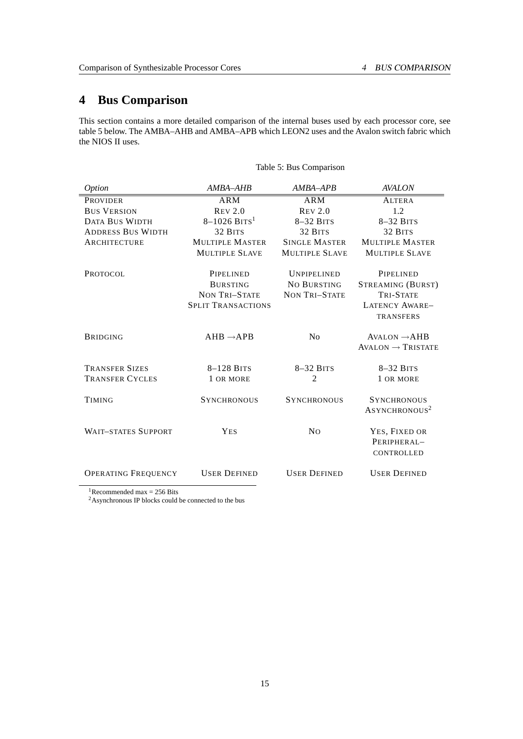# <span id="page-22-0"></span>**4 Bus Comparison**

This section contains a more detailed comparison of the internal buses used by each processor core, see table [5](#page-22-1) below. The AMBA–AHB and AMBA–APB which LEON2 uses and the Avalon switch fabric which the NIOS II uses.

<span id="page-22-1"></span>Table 5: Bus Comparison

| <i>Option</i>              | AMBA-AHB                     | AMBA-APB                 | <b>AVALON</b>                 |
|----------------------------|------------------------------|--------------------------|-------------------------------|
| <b>PROVIDER</b>            | <b>ARM</b>                   | <b>ARM</b>               | <b>ALTERA</b>                 |
| <b>BUS VERSION</b>         | $R$ EV 2.0                   | $R$ <sub>E</sub> $V$ 2.0 | 1.2                           |
| <b>DATA BUS WIDTH</b>      | $8 - 1026$ BITS <sup>1</sup> | $8-32$ BITS              | $8-32$ BITS                   |
| <b>ADDRESS BUS WIDTH</b>   | 32 BITS                      | 32 BITS                  | 32 BITS                       |
| ARCHITECTURE               | <b>MULTIPLE MASTER</b>       | <b>SINGLE MASTER</b>     | <b>MULTIPLE MASTER</b>        |
|                            | <b>MULTIPLE SLAVE</b>        | <b>MULTIPLE SLAVE</b>    | <b>MULTIPLE SLAVE</b>         |
| <b>PROTOCOL</b>            | PIPELINED                    | <b>UNPIPELINED</b>       | PIPELINED                     |
|                            | <b>BURSTING</b>              | NO BURSTING              | STREAMING (BURST)             |
|                            | <b>NON TRI-STATE</b>         | <b>NON TRI-STATE</b>     | <b>TRI-STATE</b>              |
|                            | <b>SPLIT TRANSACTIONS</b>    |                          | <b>LATENCY AWARE-</b>         |
|                            |                              |                          | <b>TRANSFERS</b>              |
| <b>BRIDGING</b>            | $AHB \rightarrow APB$        | N <sub>0</sub>           | $AVALON \rightarrow AHB$      |
|                            |                              |                          | $AVALON \rightarrow TRISTATE$ |
| <b>TRANSFER SIZES</b>      | $8-128$ BITS                 | $8-32$ BITS              | $8-32$ BITS                   |
| <b>TRANSFER CYCLES</b>     | 1 OR MORE                    | $\mathfrak{D}$           | 1 OR MORE                     |
| <b>TIMING</b>              | <b>SYNCHRONOUS</b>           | <b>SYNCHRONOUS</b>       | <b>SYNCHRONOUS</b>            |
|                            |                              |                          | ASYNCHRONOUS <sup>2</sup>     |
| <b>WAIT-STATES SUPPORT</b> | <b>YES</b>                   | N <sub>0</sub>           | YES, FIXED OR                 |
|                            |                              |                          | PERIPHERAL-                   |
|                            |                              |                          | CONTROLLED                    |
|                            |                              |                          |                               |
| <b>OPERATING FREQUENCY</b> | <b>USER DEFINED</b>          | <b>USER DEFINED</b>      | <b>USER DEFINED</b>           |
|                            |                              |                          |                               |

<span id="page-22-2"></span><sup>1</sup>Recommended max = 256 Bits

<span id="page-22-3"></span><sup>2</sup>Asynchronous IP blocks could be connected to the bus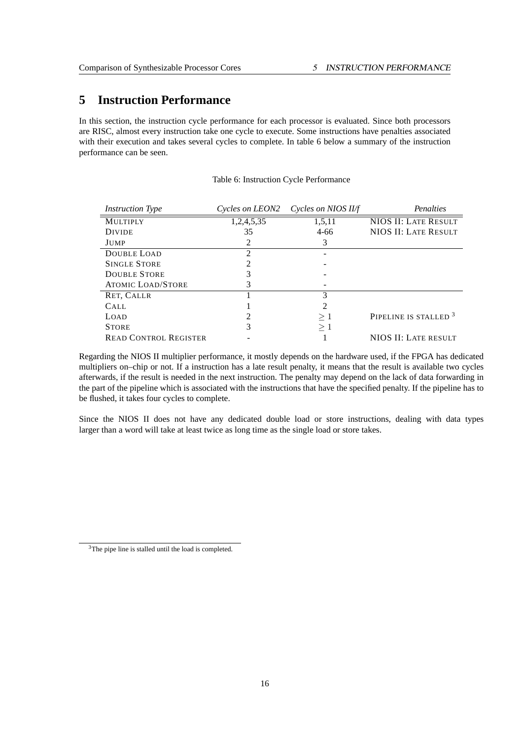# <span id="page-23-0"></span>**5 Instruction Performance**

In this section, the instruction cycle performance for each processor is evaluated. Since both processors are RISC, almost every instruction take one cycle to execute. Some instructions have penalties associated with their execution and takes several cycles to complete. In table [6](#page-23-1) below a summary of the instruction performance can be seen.

| <b>Instruction Type</b>      | Cycles on LEON2 | Cycles on NIOS II/f | Penalties                        |
|------------------------------|-----------------|---------------------|----------------------------------|
| <b>MULTIPLY</b>              | 1,2,4,5,35      | 1,5,11              | NIOS II: LATE RESULT             |
| <b>DIVIDE</b>                | 35              | $4 - 66$            | NIOS II: LATE RESULT             |
| JUMP                         |                 | 3                   |                                  |
| <b>DOUBLE LOAD</b>           | 2               |                     |                                  |
| <b>SINGLE STORE</b>          |                 |                     |                                  |
| <b>DOUBLE STORE</b>          |                 |                     |                                  |
| <b>ATOMIC LOAD/STORE</b>     | 3               |                     |                                  |
| RET, CALLR                   |                 | 3                   |                                  |
| CALL                         |                 | 2                   |                                  |
| LOAD                         | 2               | >1                  | PIPELINE IS STALLED <sup>3</sup> |
| <b>STORE</b>                 | 3               | $\geq 1$            |                                  |
| <b>READ CONTROL REGISTER</b> |                 |                     | NIOS II: LATE RESULT             |

<span id="page-23-1"></span>Table 6: Instruction Cycle Performance

Regarding the NIOS II multiplier performance, it mostly depends on the hardware used, if the FPGA has dedicated multipliers on–chip or not. If a instruction has a late result penalty, it means that the result is available two cycles afterwards, if the result is needed in the next instruction. The penalty may depend on the lack of data forwarding in the part of the pipeline which is associated with the instructions that have the specified penalty. If the pipeline has to be flushed, it takes four cycles to complete.

Since the NIOS II does not have any dedicated double load or store instructions, dealing with data types larger than a word will take at least twice as long time as the single load or store takes.

<span id="page-23-2"></span><sup>3</sup>The pipe line is stalled until the load is completed.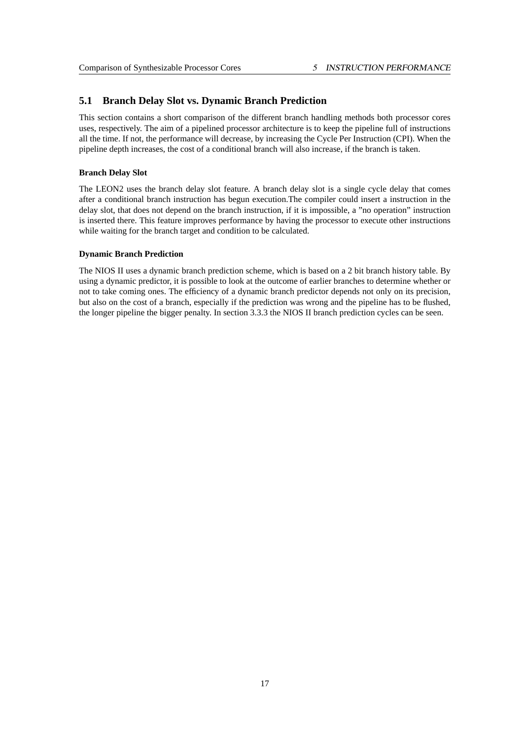## <span id="page-24-0"></span>**5.1 Branch Delay Slot vs. Dynamic Branch Prediction**

This section contains a short comparison of the different branch handling methods both processor cores uses, respectively. The aim of a pipelined processor architecture is to keep the pipeline full of instructions all the time. If not, the performance will decrease, by increasing the Cycle Per Instruction (CPI). When the pipeline depth increases, the cost of a conditional branch will also increase, if the branch is taken.

#### **Branch Delay Slot**

The LEON2 uses the branch delay slot feature. A branch delay slot is a single cycle delay that comes after a conditional branch instruction has begun execution.The compiler could insert a instruction in the delay slot, that does not depend on the branch instruction, if it is impossible, a "no operation" instruction is inserted there. This feature improves performance by having the processor to execute other instructions while waiting for the branch target and condition to be calculated.

#### **Dynamic Branch Prediction**

The NIOS II uses a dynamic branch prediction scheme, which is based on a 2 bit branch history table. By using a dynamic predictor, it is possible to look at the outcome of earlier branches to determine whether or not to take coming ones. The efficiency of a dynamic branch predictor depends not only on its precision, but also on the cost of a branch, especially if the prediction was wrong and the pipeline has to be flushed, the longer pipeline the bigger penalty. In section 3.3.3 the NIOS II branch prediction cycles can be seen.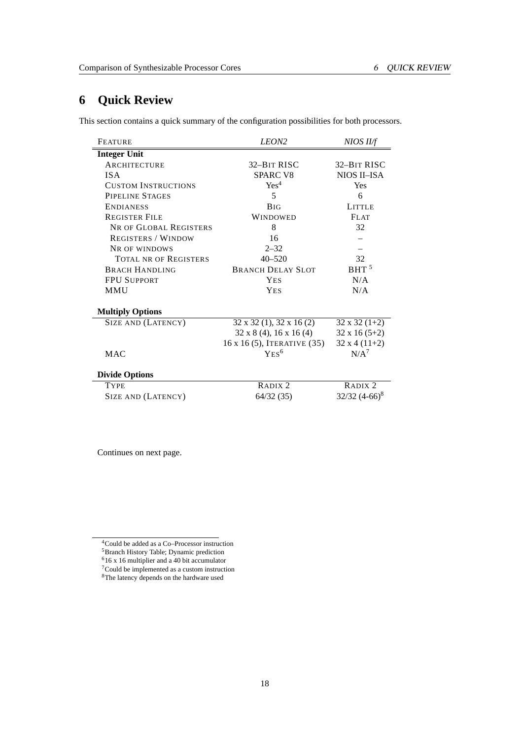# <span id="page-25-0"></span>**6 Quick Review**

This section contains a quick summary of the configuration possibilities for both processors.

| <b>FEATURE</b>               | LEON <sub>2</sub>                      | NIOS II/f            |
|------------------------------|----------------------------------------|----------------------|
| <b>Integer Unit</b>          |                                        |                      |
| <b>ARCHITECTURE</b>          | 32-BIT RISC                            | 32-BIT RISC          |
| <b>ISA</b>                   | <b>SPARC V8</b>                        | NIOS II-ISA          |
| <b>CUSTOM INSTRUCTIONS</b>   | Yes <sup>4</sup>                       | <b>Yes</b>           |
| PIPELINE STAGES              | 5                                      | 6                    |
| <b>ENDIANESS</b>             | <b>BIG</b>                             | <b>LITTLE</b>        |
| <b>REGISTER FILE</b>         | <b>WINDOWED</b>                        | <b>FLAT</b>          |
| NR OF GLOBAL REGISTERS       | 8                                      | 32                   |
| <b>REGISTERS / WINDOW</b>    | 16                                     |                      |
| NR OF WINDOWS                | $2 - 32$                               |                      |
| <b>TOTAL NR OF REGISTERS</b> | $40 - 520$                             | 32                   |
| <b>BRACH HANDLING</b>        | <b>BRANCH DELAY SLOT</b>               | BHT <sup>5</sup>     |
| <b>FPU SUPPORT</b>           | <b>YES</b>                             | N/A                  |
| <b>MMU</b>                   | <b>YES</b>                             | N/A                  |
| <b>Multiply Options</b>      |                                        |                      |
| SIZE AND (LATENCY)           | $32 \times 32$ (1), $32 \times 16$ (2) | $32 \times 32 (1+2)$ |
|                              | $32 \times 8$ (4), 16 x 16 (4)         | $32 \times 16 (5+2)$ |
|                              | 16 x 16 (5), ITERATIVE (35)            | $32x4(11+2)$         |
| <b>MAC</b>                   | $YES^6$                                | $N/A^7$              |
| <b>Divide Options</b>        |                                        |                      |
| <b>TYPE</b>                  | RADIX <sub>2</sub>                     | RADIX <sub>2</sub>   |
| SIZE AND (LATENCY)           | 64/32 (35)                             | $32/32$ $(4-66)^8$   |

Continues on next page.

<span id="page-25-1"></span><sup>4</sup>Could be added as a Co–Processor instruction

<span id="page-25-2"></span><sup>5</sup>Branch History Table; Dynamic prediction

<span id="page-25-3"></span> $616$  x 16 multiplier and a 40 bit accumulator

<span id="page-25-4"></span><sup>7</sup>Could be implemented as a custom instruction <sup>8</sup>The latency depends on the hardware used

<span id="page-25-5"></span>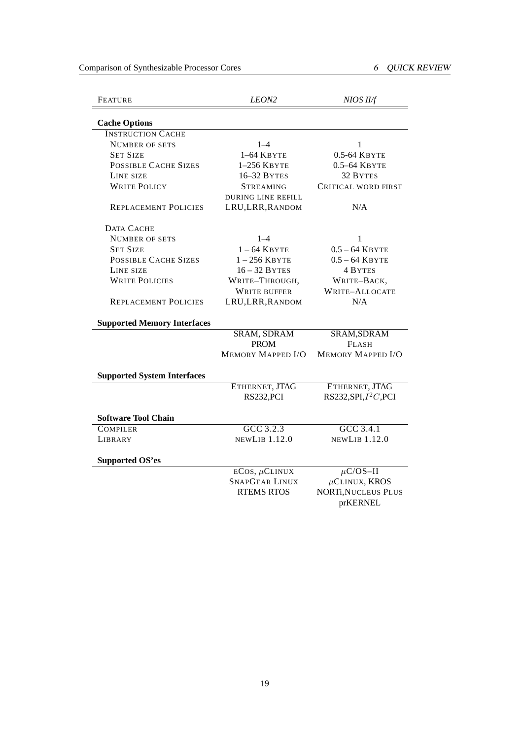Comparison of Synthesizable Processor Cores 6 QUICK REVIEW

| <b>FEATURE</b>                     | LEON <sub>2</sub><br>NIOS II/f |                                        |  |
|------------------------------------|--------------------------------|----------------------------------------|--|
| <b>Cache Options</b>               |                                |                                        |  |
| <b>INSTRUCTION CACHE</b>           |                                |                                        |  |
| <b>NUMBER OF SETS</b>              | $1 - 4$                        | 1                                      |  |
| <b>SET SIZE</b>                    | $1-64$ KBYTE                   | 0.5-64 Квуте                           |  |
| <b>POSSIBLE CACHE SIZES</b>        | $1-256$ KBYTE                  | $0.5 - 64$ KBYTE                       |  |
| LINE SIZE                          | 16–32 BYTES                    | 32 BYTES                               |  |
| <b>WRITE POLICY</b>                | <b>STREAMING</b>               | CRITICAL WORD FIRST                    |  |
|                                    | <b>DURING LINE REFILL</b>      |                                        |  |
| <b>REPLACEMENT POLICIES</b>        | LRU, LRR, RANDOM               | N/A                                    |  |
| DATA CACHE                         |                                |                                        |  |
| <b>NUMBER OF SETS</b>              | $1 - 4$                        | 1                                      |  |
| <b>SET SIZE</b>                    | $1 - 64$ KBYTE                 | $0.5 - 64$ KBYTE                       |  |
| <b>POSSIBLE CACHE SIZES</b>        | $1-256$ KBYTE                  | $0.5 - 64$ KBYTE                       |  |
| LINE SIZE                          | $16 - 32$ BYTES                | 4 BYTES                                |  |
| <b>WRITE POLICIES</b>              | WRITE-THROUGH,                 | WRITE-BACK,                            |  |
|                                    | <b>WRITE BUFFER</b>            | <b>WRITE-ALLOCATE</b>                  |  |
| <b>REPLACEMENT POLICIES</b>        | LRU, LRR, RANDOM               | N/A                                    |  |
| <b>Supported Memory Interfaces</b> |                                |                                        |  |
|                                    | <b>SRAM, SDRAM</b>             | SRAM, SDRAM                            |  |
|                                    | <b>PROM</b>                    | <b>FLASH</b>                           |  |
|                                    | <b>MEMORY MAPPED I/O</b>       | <b>MEMORY MAPPED I/O</b>               |  |
| <b>Supported System Interfaces</b> |                                |                                        |  |
|                                    | ETHERNET, JTAG                 | ETHERNET, JTAG                         |  |
|                                    | RS232, PCI                     | RS232, SPI, $I^2C$ , PCI               |  |
| <b>Software Tool Chain</b>         |                                |                                        |  |
| <b>COMPILER</b>                    | $GCC$ 3.2.3                    | $GCC$ 3.4.1                            |  |
| LIBRARY                            | <b>NEWLIB 1.12.0</b>           | <b>NEWLIB 1.12.0</b>                   |  |
| <b>Supported OS'es</b>             |                                |                                        |  |
|                                    | $ECOS, \mu CLINUX$             | $\mu$ C/OS-II                          |  |
|                                    | <b>SNAPGEAR LINUX</b>          | $\mu$ CLINUX, KROS                     |  |
|                                    | <b>RTEMS RTOS</b>              | <b>NORTi, NUCLEUS PLUS</b><br>prKERNEL |  |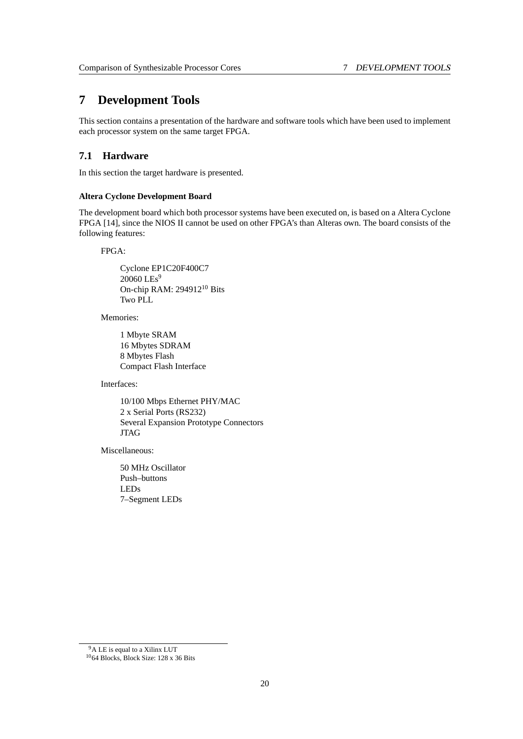# <span id="page-27-0"></span>**7 Development Tools**

This section contains a presentation of the hardware and software tools which have been used to implement each processor system on the same target FPGA.

## <span id="page-27-1"></span>**7.1 Hardware**

In this section the target hardware is presented.

## **Altera Cyclone Development Board**

The development board which both processor systems have been executed on, is based on a Altera Cyclone FPGA [\[14\]](#page-52-4), since the NIOS II cannot be used on other FPGA's than Alteras own. The board consists of the following features:

FPGA:

Cyclone EP1C20F400C7 20060 LEs<sup>[9](#page-27-2)</sup> On-chip RAM: 294912<sup>[10](#page-27-3)</sup> Bits Two PLL

Memories:

1 Mbyte SRAM 16 Mbytes SDRAM 8 Mbytes Flash Compact Flash Interface

Interfaces:

10/100 Mbps Ethernet PHY/MAC 2 x Serial Ports (RS232) Several Expansion Prototype Connectors JTAG

Miscellaneous:

50 MHz Oscillator Push–buttons LEDs 7–Segment LEDs

<span id="page-27-2"></span><sup>9</sup>A LE is equal to a Xilinx LUT

<span id="page-27-3"></span><sup>10</sup>64 Blocks, Block Size: 128 x 36 Bits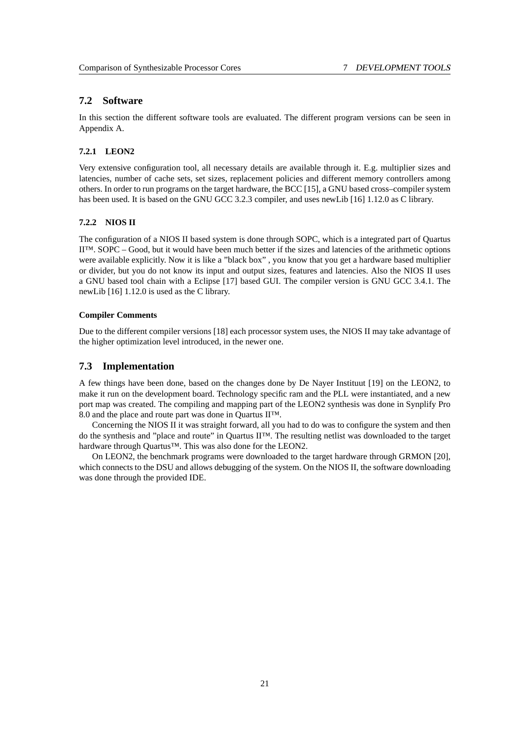## <span id="page-28-0"></span>**7.2 Software**

In this section the different software tools are evaluated. The different program versions can be seen in Appendix A.

## <span id="page-28-1"></span>**7.2.1 LEON2**

Very extensive configuration tool, all necessary details are available through it. E.g. multiplier sizes and latencies, number of cache sets, set sizes, replacement policies and different memory controllers among others. In order to run programs on the target hardware, the BCC [\[15\]](#page-52-5), a GNU based cross–compiler system has been used. It is based on the GNU GCC 3.2.3 compiler, and uses newLib [\[16\]](#page-52-6) 1.12.0 as C library.

#### <span id="page-28-2"></span>**7.2.2 NIOS II**

The configuration of a NIOS II based system is done through SOPC, which is a integrated part of Quartus II™. SOPC – Good, but it would have been much better if the sizes and latencies of the arithmetic options were available explicitly. Now it is like a "black box" , you know that you get a hardware based multiplier or divider, but you do not know its input and output sizes, features and latencies. Also the NIOS II uses a GNU based tool chain with a Eclipse [\[17\]](#page-52-7) based GUI. The compiler version is GNU GCC 3.4.1. The newLib [\[16\]](#page-52-6) 1.12.0 is used as the C library.

#### **Compiler Comments**

Due to the different compiler versions [\[18\]](#page-52-8) each processor system uses, the NIOS II may take advantage of the higher optimization level introduced, in the newer one.

## <span id="page-28-3"></span>**7.3 Implementation**

A few things have been done, based on the changes done by De Nayer Instituut [\[19\]](#page-52-9) on the LEON2, to make it run on the development board. Technology specific ram and the PLL were instantiated, and a new port map was created. The compiling and mapping part of the LEON2 synthesis was done in Synplify Pro 8.0 and the place and route part was done in Quartus II™.

Concerning the NIOS II it was straight forward, all you had to do was to configure the system and then do the synthesis and "place and route" in Quartus II™. The resulting netlist was downloaded to the target hardware through Quartus™. This was also done for the LEON2.

On LEON2, the benchmark programs were downloaded to the target hardware through GRMON [\[20\]](#page-52-10), which connects to the DSU and allows debugging of the system. On the NIOS II, the software downloading was done through the provided IDE.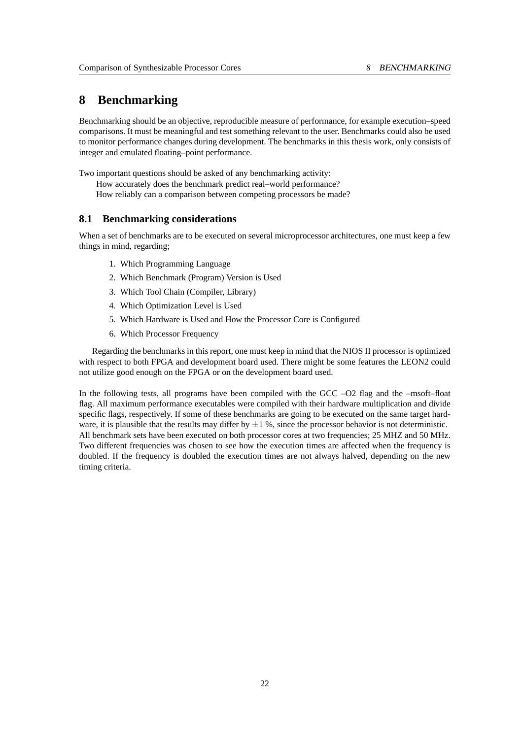## <span id="page-29-0"></span>**8 Benchmarking**

Benchmarking should be an objective, reproducible measure of performance, for example execution–speed comparisons. It must be meaningful and test something relevant to the user. Benchmarks could also be used to monitor performance changes during development. The benchmarks in this thesis work, only consists of integer and emulated floating–point performance.

Two important questions should be asked of any benchmarking activity: How accurately does the benchmark predict real–world performance? How reliably can a comparison between competing processors be made?

## <span id="page-29-1"></span>**8.1 Benchmarking considerations**

When a set of benchmarks are to be executed on several microprocessor architectures, one must keep a few things in mind, regarding;

- 1. Which Programming Language
- 2. Which Benchmark (Program) Version is Used
- 3. Which Tool Chain (Compiler, Library)
- 4. Which Optimization Level is Used
- 5. Which Hardware is Used and How the Processor Core is Configured
- 6. Which Processor Frequency

Regarding the benchmarks in this report, one must keep in mind that the NIOS II processor is optimized with respect to both FPGA and development board used. There might be some features the LEON2 could not utilize good enough on the FPGA or on the development board used.

In the following tests, all programs have been compiled with the GCC –O2 flag and the –msoft–float flag. All maximum performance executables were compiled with their hardware multiplication and divide specific flags, respectively. If some of these benchmarks are going to be executed on the same target hardware, it is plausible that the results may differ by  $\pm 1$  %, since the processor behavior is not deterministic. All benchmark sets have been executed on both processor cores at two frequencies; 25 MHZ and 50 MHz. Two different frequencies was chosen to see how the execution times are affected when the frequency is doubled. If the frequency is doubled the execution times are not always halved, depending on the new timing criteria.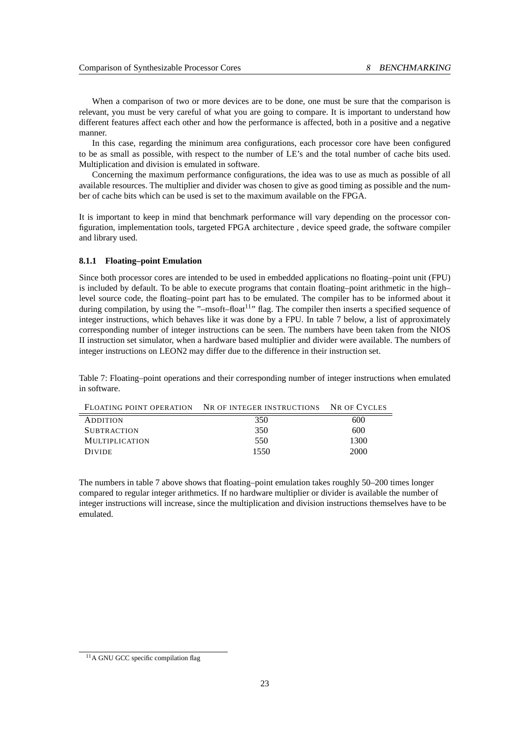When a comparison of two or more devices are to be done, one must be sure that the comparison is relevant, you must be very careful of what you are going to compare. It is important to understand how different features affect each other and how the performance is affected, both in a positive and a negative manner.

In this case, regarding the minimum area configurations, each processor core have been configured to be as small as possible, with respect to the number of LE's and the total number of cache bits used. Multiplication and division is emulated in software.

Concerning the maximum performance configurations, the idea was to use as much as possible of all available resources. The multiplier and divider was chosen to give as good timing as possible and the number of cache bits which can be used is set to the maximum available on the FPGA.

It is important to keep in mind that benchmark performance will vary depending on the processor configuration, implementation tools, targeted FPGA architecture , device speed grade, the software compiler and library used.

#### <span id="page-30-0"></span>**8.1.1 Floating–point Emulation**

Since both processor cores are intended to be used in embedded applications no floating–point unit (FPU) is included by default. To be able to execute programs that contain floating–point arithmetic in the high– level source code, the floating–point part has to be emulated. The compiler has to be informed about it during compilation, by using the " $-m\text{soft–float}^{11}$  $-m\text{soft–float}^{11}$  $-m\text{soft–float}^{11}$ " flag. The compiler then inserts a specified sequence of integer instructions, which behaves like it was done by a FPU. In table [7](#page-30-1) below, a list of approximately corresponding number of integer instructions can be seen. The numbers have been taken from the NIOS II instruction set simulator, when a hardware based multiplier and divider were available. The numbers of integer instructions on LEON2 may differ due to the difference in their instruction set.

<span id="page-30-1"></span>Table 7: Floating–point operations and their corresponding number of integer instructions when emulated in software.

|                       | FLOATING POINT OPERATION NR OF INTEGER INSTRUCTIONS NR OF CYCLES |      |
|-----------------------|------------------------------------------------------------------|------|
| <b>ADDITION</b>       | 350                                                              | 600  |
| <b>SUBTRACTION</b>    | 350                                                              | 600  |
| <b>MULTIPLICATION</b> | 550                                                              | 1300 |
| <b>DIVIDE</b>         | 1550                                                             | 2000 |

The numbers in table [7](#page-30-1) above shows that floating–point emulation takes roughly 50–200 times longer compared to regular integer arithmetics. If no hardware multiplier or divider is available the number of integer instructions will increase, since the multiplication and division instructions themselves have to be emulated.

<span id="page-30-2"></span><sup>&</sup>lt;sup>11</sup>A GNU GCC specific compilation flag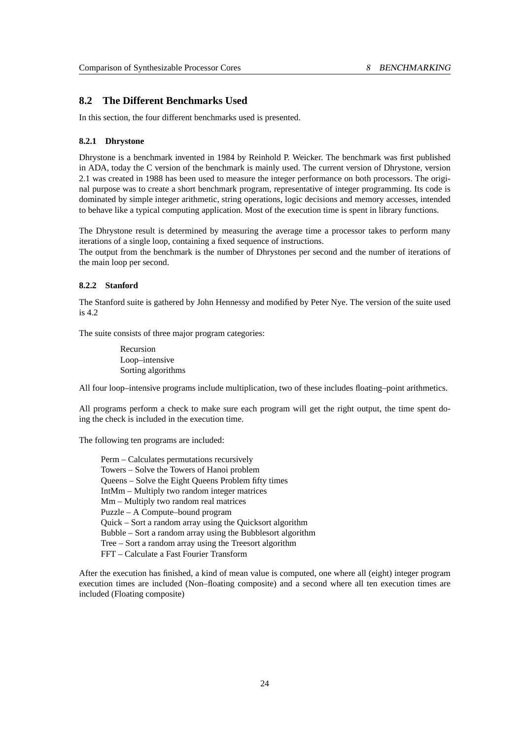## <span id="page-31-0"></span>**8.2 The Different Benchmarks Used**

In this section, the four different benchmarks used is presented.

## <span id="page-31-1"></span>**8.2.1 Dhrystone**

Dhrystone is a benchmark invented in 1984 by Reinhold P. Weicker. The benchmark was first published in ADA, today the C version of the benchmark is mainly used. The current version of Dhrystone, version 2.1 was created in 1988 has been used to measure the integer performance on both processors. The original purpose was to create a short benchmark program, representative of integer programming. Its code is dominated by simple integer arithmetic, string operations, logic decisions and memory accesses, intended to behave like a typical computing application. Most of the execution time is spent in library functions.

The Dhrystone result is determined by measuring the average time a processor takes to perform many iterations of a single loop, containing a fixed sequence of instructions.

The output from the benchmark is the number of Dhrystones per second and the number of iterations of the main loop per second.

## <span id="page-31-2"></span>**8.2.2 Stanford**

The Stanford suite is gathered by John Hennessy and modified by Peter Nye. The version of the suite used is 4.2

The suite consists of three major program categories:

Recursion Loop–intensive Sorting algorithms

All four loop–intensive programs include multiplication, two of these includes floating–point arithmetics.

All programs perform a check to make sure each program will get the right output, the time spent doing the check is included in the execution time.

The following ten programs are included:

Perm – Calculates permutations recursively Towers – Solve the Towers of Hanoi problem Queens – Solve the Eight Queens Problem fifty times IntMm – Multiply two random integer matrices Mm – Multiply two random real matrices Puzzle – A Compute–bound program Quick – Sort a random array using the Quicksort algorithm Bubble – Sort a random array using the Bubblesort algorithm Tree – Sort a random array using the Treesort algorithm FFT – Calculate a Fast Fourier Transform

After the execution has finished, a kind of mean value is computed, one where all (eight) integer program execution times are included (Non–floating composite) and a second where all ten execution times are included (Floating composite)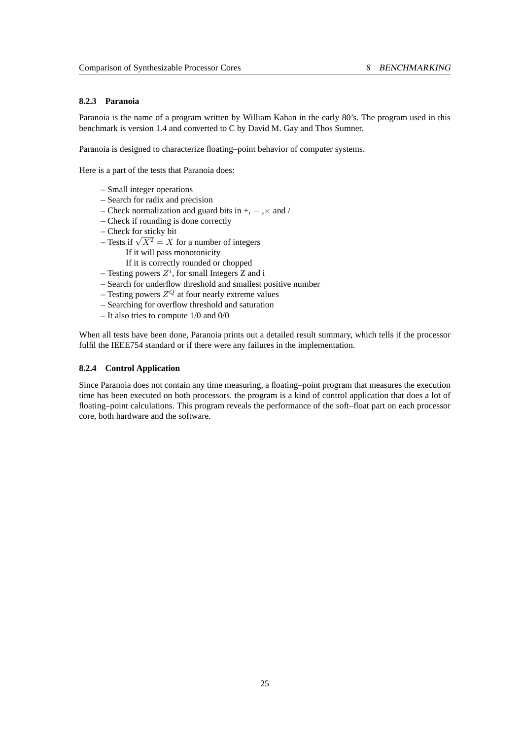## <span id="page-32-0"></span>**8.2.3 Paranoia**

Paranoia is the name of a program written by William Kahan in the early 80's. The program used in this benchmark is version 1.4 and converted to C by David M. Gay and Thos Sumner.

Paranoia is designed to characterize floating–point behavior of computer systems.

Here is a part of the tests that Paranoia does:

- Small integer operations
- Search for radix and precision
- Check normalization and guard bits in +, − ,× and /
- Check if rounding is done correctly
- Check for sticky bit
- Check for sticky bit<br>– Tests if  $\sqrt{X^2} = X$  for a number of integers
	- If it will pass monotonicity
	- If it is correctly rounded or chopped
- Testing powers  $Z^i$ , for small Integers Z and i
- Search for underflow threshold and smallest positive number
- Testing powers  $Z^Q$  at four nearly extreme values
- Searching for overflow threshold and saturation
- It also tries to compute 1/0 and 0/0

When all tests have been done, Paranoia prints out a detailed result summary, which tells if the processor fulfil the IEEE754 standard or if there were any failures in the implementation.

#### <span id="page-32-1"></span>**8.2.4 Control Application**

Since Paranoia does not contain any time measuring, a floating–point program that measures the execution time has been executed on both processors. the program is a kind of control application that does a lot of floating–point calculations. This program reveals the performance of the soft–float part on each processor core, both hardware and the software.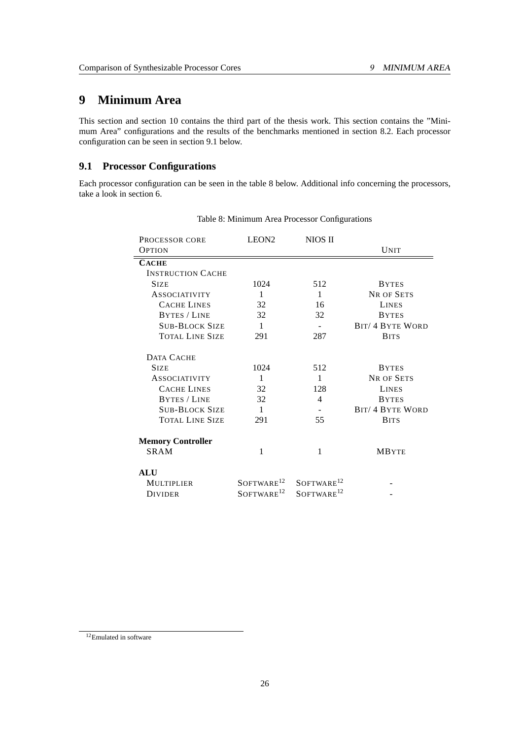# <span id="page-33-0"></span>**9 Minimum Area**

This section and section [10](#page-40-0) contains the third part of the thesis work. This section contains the "Minimum Area" configurations and the results of the benchmarks mentioned in section [8.2.](#page-31-0) Each processor configuration can be seen in section [9.1](#page-33-1) below.

## <span id="page-33-1"></span>**9.1 Processor Configurations**

Each processor configuration can be seen in the table [8](#page-33-2) below. Additional info concerning the processors, take a look in section [6.](#page-25-0)

| PROCESSOR CORE           | LEON <sub>2</sub>      | NIOS II                   |                         |
|--------------------------|------------------------|---------------------------|-------------------------|
| <b>OPTION</b>            |                        |                           | <b>UNIT</b>             |
| <b>CACHE</b>             |                        |                           |                         |
| <b>INSTRUCTION CACHE</b> |                        |                           |                         |
| <b>SIZE</b>              | 1024                   | 512                       | <b>BYTES</b>            |
| <b>ASSOCIATIVITY</b>     | 1                      | $\mathbf{1}$              | <b>NR OF SETS</b>       |
| <b>CACHE LINES</b>       | 32                     | 16                        | <b>LINES</b>            |
| <b>BYTES / LINE</b>      | 32                     | 32                        | <b>BYTES</b>            |
| <b>SUB-BLOCK SIZE</b>    | $\mathbf{1}$           | $\sim$                    | <b>BIT/ 4 BYTE WORD</b> |
| <b>TOTAL LINE SIZE</b>   | 291                    | 287                       | <b>BITS</b>             |
| DATA CACHE               |                        |                           |                         |
| <b>SIZE</b>              | 1024                   | 512                       | <b>BYTES</b>            |
| <b>ASSOCIATIVITY</b>     | $\mathbf{1}$           | $\mathbf{1}$              | <b>NR OF SETS</b>       |
| <b>CACHE LINES</b>       | 32                     | 128                       | <b>LINES</b>            |
| <b>BYTES / LINE</b>      | 32                     | 4                         | <b>BYTES</b>            |
| <b>SUB-BLOCK SIZE</b>    | $\mathbf{1}$           |                           | <b>BIT/ 4 BYTE WORD</b> |
| <b>TOTAL LINE SIZE</b>   | 291                    | 55                        | <b>BITS</b>             |
| <b>Memory Controller</b> |                        |                           |                         |
| SRAM                     | 1                      | 1                         | <b>MBYTE</b>            |
| <b>ALU</b>               |                        |                           |                         |
| MULTIPLIER               | SOFTWARE <sup>12</sup> | $S$ OFTWARE <sup>12</sup> |                         |
| <b>DIVIDER</b>           | SOFTWARE <sup>12</sup> | SOFTWARE <sup>12</sup>    |                         |

<span id="page-33-2"></span>Table 8: Minimum Area Processor Configurations

<span id="page-33-3"></span><sup>&</sup>lt;sup>12</sup>Emulated in software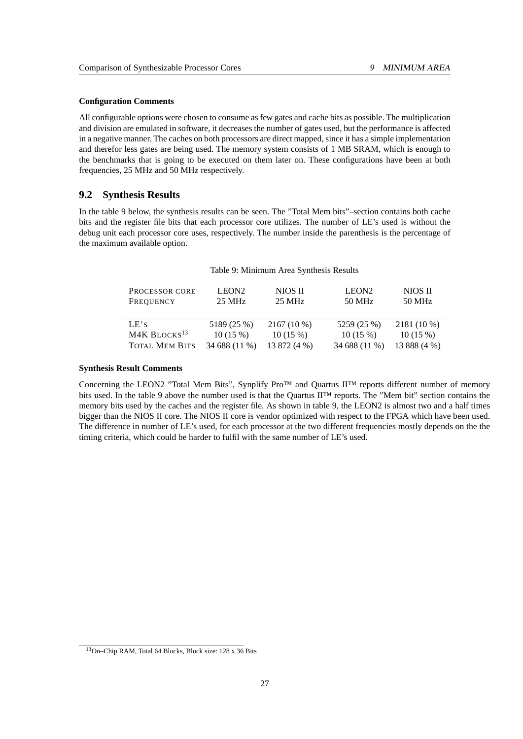#### **Configuration Comments**

All configurable options were chosen to consume as few gates and cache bits as possible. The multiplication and division are emulated in software, it decreases the number of gates used, but the performance is affected in a negative manner. The caches on both processors are direct mapped, since it has a simple implementation and therefor less gates are being used. The memory system consists of 1 MB SRAM, which is enough to the benchmarks that is going to be executed on them later on. These configurations have been at both frequencies, 25 MHz and 50 MHz respectively.

## <span id="page-34-0"></span>**9.2 Synthesis Results**

In the table [9](#page-34-1) below, the synthesis results can be seen. The "Total Mem bits"–section contains both cache bits and the register file bits that each processor core utilizes. The number of LE's used is without the debug unit each processor core uses, respectively. The number inside the parenthesis is the percentage of the maximum available option.

<span id="page-34-1"></span>

| Table 9: Minimum Area Synthesis Results |  |  |
|-----------------------------------------|--|--|
|                                         |  |  |

| PROCESSOR CORE<br>FREQUENCY | LEON <sub>2</sub><br>$25 \text{ MHz}$ | NIOS II<br>25 MHz | LEON <sub>2</sub><br>50 MHz | NIOS II<br>50 MHz |
|-----------------------------|---------------------------------------|-------------------|-----------------------------|-------------------|
| LE's                        | 5189 (25 %)                           | $2167(10\%)$      | 5259 (25 %)                 | 2181 (10 %)       |
| M4K BLOCKS <sup>13</sup>    | 10(15%)                               | 10(15%)           | 10(15%)                     | 10(15%)           |
| <b>TOTAL MEM BITS</b>       | 34 688 (11 %)                         | 13 872 (4 %)      | 34 688 (11 %)               | 13 888 (4 %)      |

#### **Synthesis Result Comments**

Concerning the LEON2 "Total Mem Bits", Synplify Pro™ and Quartus II™ reports different number of memory bits used. In the table [9](#page-34-1) above the number used is that the Quartus II™ reports. The "Mem bit" section contains the memory bits used by the caches and the register file. As shown in table [9,](#page-34-1) the LEON2 is almost two and a half times bigger than the NIOS II core. The NIOS II core is vendor optimized with respect to the FPGA which have been used. The difference in number of LE's used, for each processor at the two different frequencies mostly depends on the the timing criteria, which could be harder to fulfil with the same number of LE's used.

<span id="page-34-2"></span><sup>13</sup>On–Chip RAM, Total 64 Blocks, Block size: 128 x 36 Bits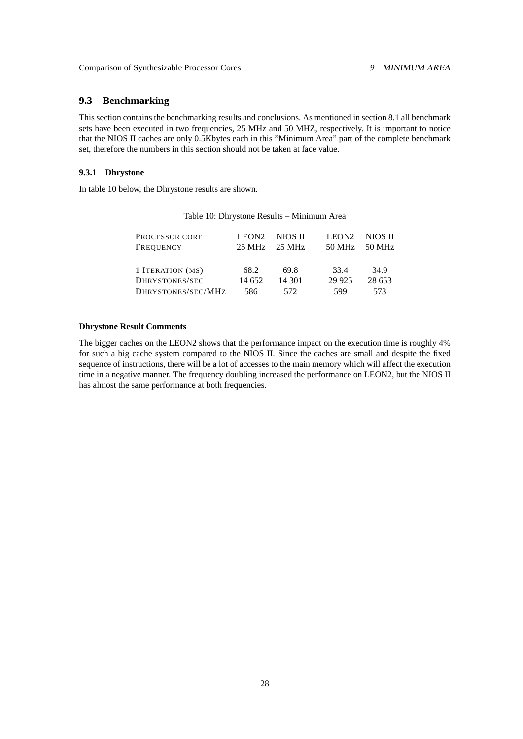## <span id="page-35-0"></span>**9.3 Benchmarking**

This section contains the benchmarking results and conclusions. As mentioned in section 8.1 all benchmark sets have been executed in two frequencies, 25 MHz and 50 MHZ, respectively. It is important to notice that the NIOS II caches are only 0.5Kbytes each in this "Minimum Area" part of the complete benchmark set, therefore the numbers in this section should not be taken at face value.

## <span id="page-35-1"></span>**9.3.1 Dhrystone**

In table [10](#page-35-2) below, the Dhrystone results are shown.

| <b>PROCESSOR CORE</b><br>FREQUENCY | LEON <sub>2</sub><br>25 MHz | NIOS II<br>25 MHz | LEON <sub>2</sub><br>50 MHz | NIOS II<br>50 MHz |
|------------------------------------|-----------------------------|-------------------|-----------------------------|-------------------|
| 1 ITERATION (MS)                   | 68.2                        | 69.8              | 334                         | 34.9              |
| DHRYSTONES/SEC                     | 14.652                      | 14 301            | 29 9 25                     | 28 653            |
| DHRYSTONES/SEC/MHZ                 | 586                         | 572               | 599                         | 573               |

<span id="page-35-2"></span>Table 10: Dhrystone Results – Minimum Area

#### **Dhrystone Result Comments**

The bigger caches on the LEON2 shows that the performance impact on the execution time is roughly 4% for such a big cache system compared to the NIOS II. Since the caches are small and despite the fixed sequence of instructions, there will be a lot of accesses to the main memory which will affect the execution time in a negative manner. The frequency doubling increased the performance on LEON2, but the NIOS II has almost the same performance at both frequencies.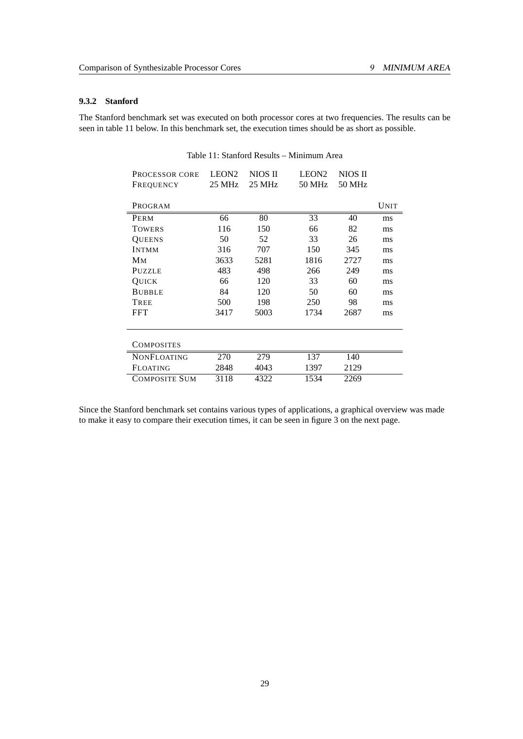## <span id="page-36-0"></span>**9.3.2 Stanford**

The Stanford benchmark set was executed on both processor cores at two frequencies. The results can be seen in table [11](#page-36-1) below. In this benchmark set, the execution times should be as short as possible.

| PROCESSOR CORE<br>FREQUENCY | LEON <sub>2</sub><br>25 MHz | NIOS II<br>25 MHz | LEON <sub>2</sub><br>50 MHz | NIOS II<br>50 MHz |      |
|-----------------------------|-----------------------------|-------------------|-----------------------------|-------------------|------|
| PROGRAM                     |                             |                   |                             |                   | UNIT |
| PERM                        | 66                          | 80                | 33                          | 40                | ms   |
| <b>TOWERS</b>               | 116                         | 150               | 66                          | 82                | ms   |
| <b>QUEENS</b>               | 50                          | 52                | 33                          | 26                | ms   |
| <b>INTMM</b>                | 316                         | 707               | 150                         | 345               | ms   |
| Μм                          | 3633                        | 5281              | 1816                        | 2727              | ms   |
| PUZZLE                      | 483                         | 498               | 266                         | 249               | ms   |
| QUICK                       | 66                          | 120               | 33                          | 60                | ms   |
| <b>BUBBLE</b>               | 84                          | 120               | 50                          | 60                | ms   |
| TREE                        | 500                         | 198               | 250                         | 98                | ms   |
| <b>FFT</b>                  | 3417                        | 5003              | 1734                        | 2687              | ms   |
| <b>COMPOSITES</b>           |                             |                   |                             |                   |      |
| <b>NONFLOATING</b>          | 270                         | 279               | 137                         | 140               |      |
| <b>FLOATING</b>             | 2848                        | 4043              | 1397                        | 2129              |      |
| <b>COMPOSITE SUM</b>        | 3118                        | 4322              | 1534                        | 2269              |      |

<span id="page-36-1"></span>Table 11: Stanford Results – Minimum Area

Since the Stanford benchmark set contains various types of applications, a graphical overview was made to make it easy to compare their execution times, it can be seen in figure [3](#page-37-0) on the next page.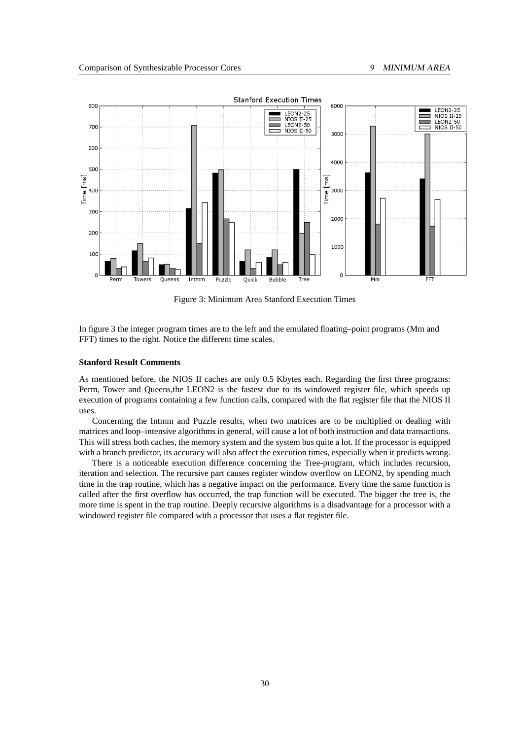

<span id="page-37-0"></span>Figure 3: Minimum Area Stanford Execution Times

In figure [3](#page-37-0) the integer program times are to the left and the emulated floating–point programs (Mm and FFT) times to the right. Notice the different time scales.

#### **Stanford Result Comments**

As mentioned before, the NIOS II caches are only 0.5 Kbytes each. Regarding the first three programs: Perm, Tower and Queens,the LEON2 is the fastest due to its windowed register file, which speeds up execution of programs containing a few function calls, compared with the flat register file that the NIOS II uses.

Concerning the Intmm and Puzzle results, when two matrices are to be multiplied or dealing with matrices and loop–intensive algorithms in general, will cause a lot of both instruction and data transactions. This will stress both caches, the memory system and the system bus quite a lot. If the processor is equipped with a branch predictor, its accuracy will also affect the execution times, especially when it predicts wrong.

There is a noticeable execution difference concerning the Tree-program, which includes recursion, iteration and selection. The recursive part causes register window overflow on LEON2, by spending much time in the trap routine, which has a negative impact on the performance. Every time the same function is called after the first overflow has occurred, the trap function will be executed. The bigger the tree is, the more time is spent in the trap routine. Deeply recursive algorithms is a disadvantage for a processor with a windowed register file compared with a processor that uses a flat register file.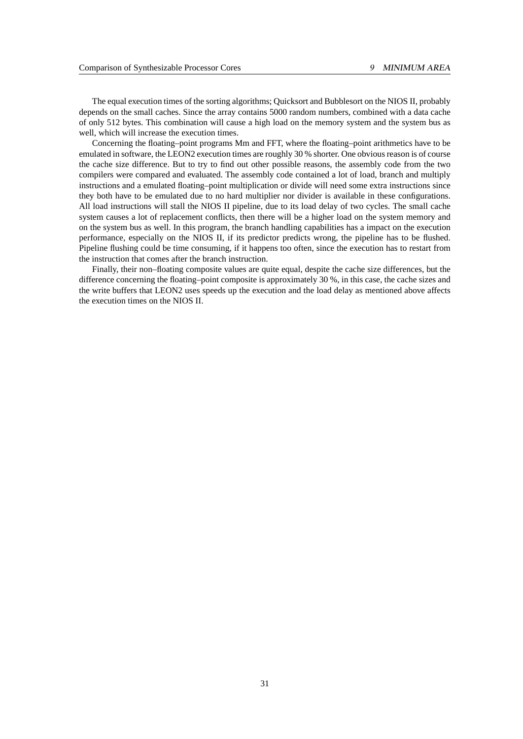The equal execution times of the sorting algorithms; Quicksort and Bubblesort on the NIOS II, probably depends on the small caches. Since the array contains 5000 random numbers, combined with a data cache of only 512 bytes. This combination will cause a high load on the memory system and the system bus as well, which will increase the execution times.

Concerning the floating–point programs Mm and FFT, where the floating–point arithmetics have to be emulated in software, the LEON2 execution times are roughly 30 % shorter. One obvious reason is of course the cache size difference. But to try to find out other possible reasons, the assembly code from the two compilers were compared and evaluated. The assembly code contained a lot of load, branch and multiply instructions and a emulated floating–point multiplication or divide will need some extra instructions since they both have to be emulated due to no hard multiplier nor divider is available in these configurations. All load instructions will stall the NIOS II pipeline, due to its load delay of two cycles. The small cache system causes a lot of replacement conflicts, then there will be a higher load on the system memory and on the system bus as well. In this program, the branch handling capabilities has a impact on the execution performance, especially on the NIOS II, if its predictor predicts wrong, the pipeline has to be flushed. Pipeline flushing could be time consuming, if it happens too often, since the execution has to restart from the instruction that comes after the branch instruction.

Finally, their non–floating composite values are quite equal, despite the cache size differences, but the difference concerning the floating–point composite is approximately 30 %, in this case, the cache sizes and the write buffers that LEON2 uses speeds up the execution and the load delay as mentioned above affects the execution times on the NIOS II.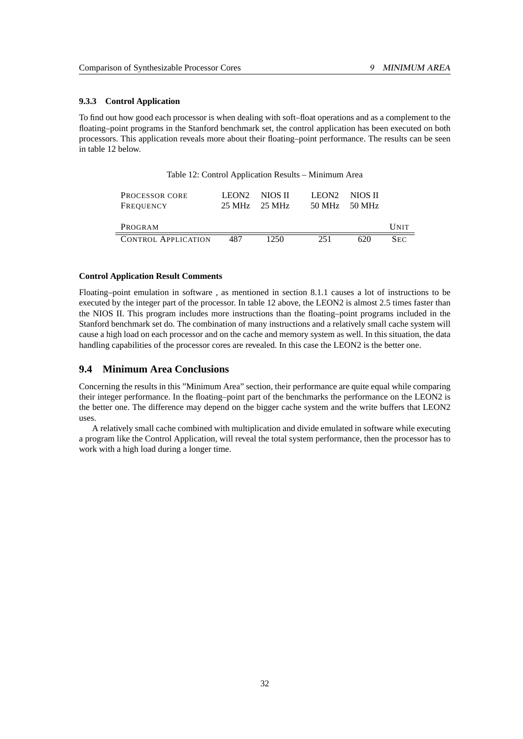#### <span id="page-39-0"></span>**9.3.3 Control Application**

To find out how good each processor is when dealing with soft–float operations and as a complement to the floating–point programs in the Stanford benchmark set, the control application has been executed on both processors. This application reveals more about their floating–point performance. The results can be seen in table [12](#page-39-2) below.

<span id="page-39-2"></span>

| Table 12: Control Application Results – Minimum Area |
|------------------------------------------------------|
|------------------------------------------------------|

| <b>PROCESSOR CORE</b>      | LEON <sub>2</sub> | NIOS II                           | LEON <sub>2</sub> | NIOS II |             |
|----------------------------|-------------------|-----------------------------------|-------------------|---------|-------------|
| FREQUENCY                  |                   | $25 \text{ MHz}$ $25 \text{ MHz}$ | 50 MHz            | -50 MHz |             |
|                            |                   |                                   |                   |         |             |
| PROGRAM                    |                   |                                   |                   |         | <b>UNIT</b> |
| <b>CONTROL APPLICATION</b> | 487               | 1250                              | 251               | 620     | <b>SEC</b>  |

#### **Control Application Result Comments**

Floating–point emulation in software , as mentioned in section [8.1.1](#page-30-0) causes a lot of instructions to be executed by the integer part of the processor. In table [12](#page-39-2) above, the LEON2 is almost 2.5 times faster than the NIOS II. This program includes more instructions than the floating–point programs included in the Stanford benchmark set do. The combination of many instructions and a relatively small cache system will cause a high load on each processor and on the cache and memory system as well. In this situation, the data handling capabilities of the processor cores are revealed. In this case the LEON2 is the better one.

## <span id="page-39-1"></span>**9.4 Minimum Area Conclusions**

Concerning the results in this "Minimum Area" section, their performance are quite equal while comparing their integer performance. In the floating–point part of the benchmarks the performance on the LEON2 is the better one. The difference may depend on the bigger cache system and the write buffers that LEON2 uses.

A relatively small cache combined with multiplication and divide emulated in software while executing a program like the Control Application, will reveal the total system performance, then the processor has to work with a high load during a longer time.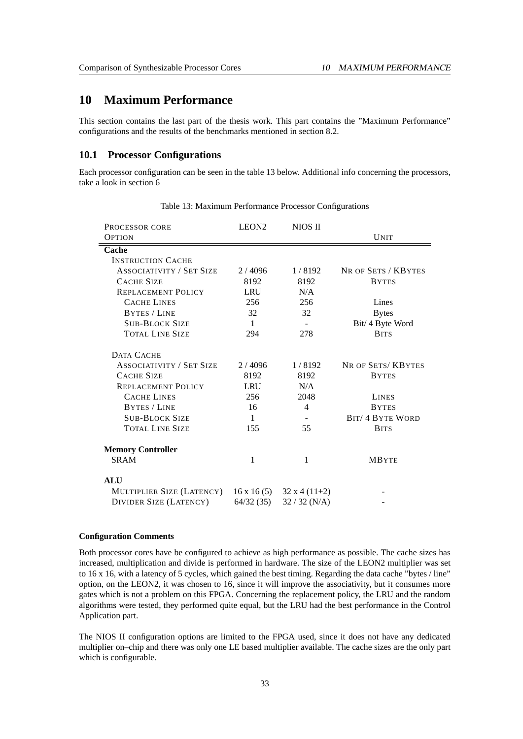# <span id="page-40-0"></span>**10 Maximum Performance**

This section contains the last part of the thesis work. This part contains the "Maximum Performance" configurations and the results of the benchmarks mentioned in section [8.2.](#page-31-0)

## <span id="page-40-1"></span>**10.1 Processor Configurations**

Each processor configuration can be seen in the table [13](#page-40-2) below. Additional info concerning the processors, take a look in section [6](#page-25-0)

| <b>PROCESSOR CORE</b>           | LEON <sub>2</sub> | NIOS II         |                         |
|---------------------------------|-------------------|-----------------|-------------------------|
| <b>OPTION</b>                   |                   |                 | <b>UNIT</b>             |
| Cache                           |                   |                 |                         |
| <b>INSTRUCTION CACHE</b>        |                   |                 |                         |
| <b>ASSOCIATIVITY / SET SIZE</b> | 2/4096            | 1/8192          | NR OF SETS / KBYTES     |
| <b>CACHE SIZE</b>               | 8192              | 8192            | <b>BYTES</b>            |
| <b>REPLACEMENT POLICY</b>       | <b>LRU</b>        | N/A             |                         |
| <b>CACHE LINES</b>              | 256               | 256             | Lines                   |
| <b>BYTES / LINE</b>             | 32                | 32              | <b>Bytes</b>            |
| <b>SUB-BLOCK SIZE</b>           | $\mathbf{1}$      |                 | Bit/ 4 Byte Word        |
| <b>TOTAL LINE SIZE</b>          | 294               | 278             | <b>BITS</b>             |
| DATA CACHE                      |                   |                 |                         |
| <b>ASSOCIATIVITY / SET SIZE</b> | 2/4096            | 1/8192          | NR OF SETS/KBYTES       |
| <b>CACHE SIZE</b>               | 8192              | 8192            | <b>BYTES</b>            |
| <b>REPLACEMENT POLICY</b>       | <b>LRU</b>        | N/A             |                         |
| <b>CACHE LINES</b>              | 256               | 2048            | <b>LINES</b>            |
| <b>BYTES / LINE</b>             | 16                | 4               | <b>BYTES</b>            |
| <b>SUB-BLOCK SIZE</b>           | $\mathbf{1}$      |                 | <b>BIT/ 4 BYTE WORD</b> |
| <b>TOTAL LINE SIZE</b>          | 155               | 55              | <b>BITS</b>             |
| <b>Memory Controller</b>        |                   |                 |                         |
| <b>SRAM</b>                     | 1                 | 1               | <b>MBYTE</b>            |
| <b>ALU</b>                      |                   |                 |                         |
| MULTIPLIER SIZE (LATENCY)       | $16 \times 16(5)$ | $32x4(11+2)$    |                         |
| <b>DIVIDER SIZE (LATENCY)</b>   | 64/32(35)         | $32 / 32$ (N/A) |                         |

<span id="page-40-2"></span>Table 13: Maximum Performance Processor Configurations

#### **Configuration Comments**

Both processor cores have be configured to achieve as high performance as possible. The cache sizes has increased, multiplication and divide is performed in hardware. The size of the LEON2 multiplier was set to 16 x 16, with a latency of 5 cycles, which gained the best timing. Regarding the data cache "bytes / line" option, on the LEON2, it was chosen to 16, since it will improve the associativity, but it consumes more gates which is not a problem on this FPGA. Concerning the replacement policy, the LRU and the random algorithms were tested, they performed quite equal, but the LRU had the best performance in the Control Application part.

The NIOS II configuration options are limited to the FPGA used, since it does not have any dedicated multiplier on–chip and there was only one LE based multiplier available. The cache sizes are the only part which is configurable.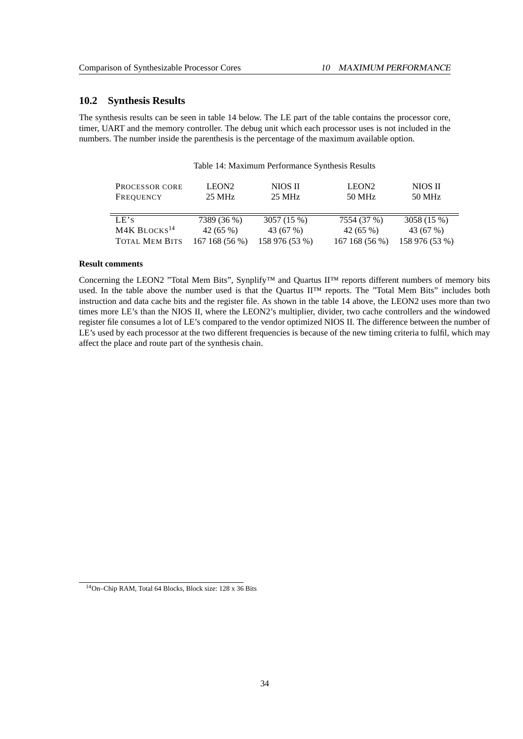## <span id="page-41-0"></span>**10.2 Synthesis Results**

The synthesis results can be seen in table [14](#page-41-1) below. The LE part of the table contains the processor core, timer, UART and the memory controller. The debug unit which each processor uses is not included in the numbers. The number inside the parenthesis is the percentage of the maximum available option.

<span id="page-41-1"></span>

| Table 14: Maximum Performance Synthesis Results |                                       |                   |                             |                   |
|-------------------------------------------------|---------------------------------------|-------------------|-----------------------------|-------------------|
| <b>PROCESSOR CORE</b><br>FREQUENCY              | LEON <sub>2</sub><br>$25 \text{ MHz}$ | NIOS II<br>25 MHz | LEON <sub>2</sub><br>50 MHz | NIOS II<br>50 MHz |
| LE's                                            | 7389 (36 %)                           | 3057 (15 %)       | 7554 (37 %)                 | 3058 (15 %)       |
| M4K BLOCKS <sup>14</sup>                        | 42 $(65\%)$                           | 43 (67 %)         | 42 $(65\%)$                 | 43 (67 %)         |
| <b>TOTAL MEM BITS</b>                           | 167 168 (56 %)                        | 158 976 (53 %)    | 167 168 (56 %)              | 158 976 (53 %)    |

#### **Result comments**

Concerning the LEON2 "Total Mem Bits", Synplify™ and Quartus II™ reports different numbers of memory bits used. In the table above the number used is that the Quartus II™ reports. The "Total Mem Bits" includes both instruction and data cache bits and the register file. As shown in the table [14](#page-41-1) above, the LEON2 uses more than two times more LE's than the NIOS II, where the LEON2's multiplier, divider, two cache controllers and the windowed register file consumes a lot of LE's compared to the vendor optimized NIOS II. The difference between the number of LE's used by each processor at the two different frequencies is because of the new timing criteria to fulfil, which may affect the place and route part of the synthesis chain.

<span id="page-41-2"></span><sup>14</sup>On–Chip RAM, Total 64 Blocks, Block size: 128 x 36 Bits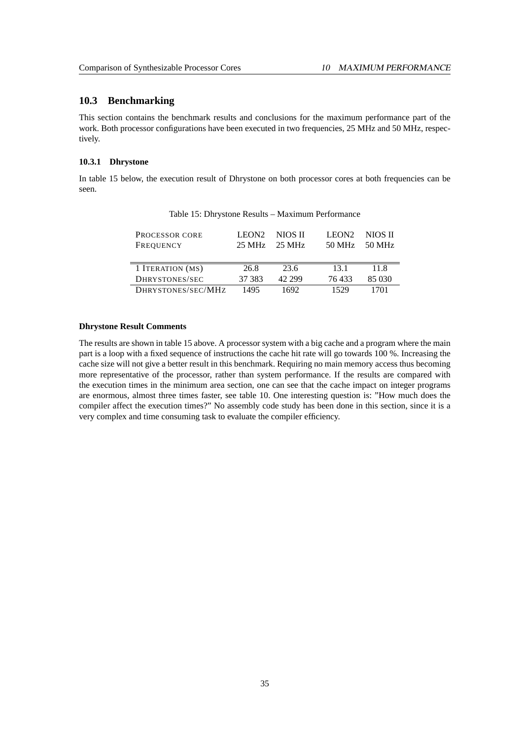## <span id="page-42-0"></span>**10.3 Benchmarking**

This section contains the benchmark results and conclusions for the maximum performance part of the work. Both processor configurations have been executed in two frequencies, 25 MHz and 50 MHz, respectively.

#### <span id="page-42-1"></span>**10.3.1 Dhrystone**

In table [15](#page-42-2) below, the execution result of Dhrystone on both processor cores at both frequencies can be seen.

| <b>PROCESSOR CORE</b><br>FREQUENCY | LEON <sub>2</sub><br>$25 \mathrm{MHz}$ | NIOS II<br>25 MHz | LEON <sub>2</sub><br>50 MHz | NIOS II<br>50 MHz |
|------------------------------------|----------------------------------------|-------------------|-----------------------------|-------------------|
| 1 ITERATION (MS)                   | 26.8                                   | 23.6              | 131                         | 11 8              |
| DHRYSTONES/SEC                     | 37 383                                 | 42.299            | 76433                       | 85 030            |
| DHRYSTONES/SEC/MHZ                 | 1495                                   | 1692              | 1529                        | 701               |

<span id="page-42-2"></span>Table 15: Dhrystone Results – Maximum Performance

#### **Dhrystone Result Comments**

The results are shown in table [15](#page-42-2) above. A processor system with a big cache and a program where the main part is a loop with a fixed sequence of instructions the cache hit rate will go towards 100 %. Increasing the cache size will not give a better result in this benchmark. Requiring no main memory access thus becoming more representative of the processor, rather than system performance. If the results are compared with the execution times in the minimum area section, one can see that the cache impact on integer programs are enormous, almost three times faster, see table [10.](#page-35-2) One interesting question is: "How much does the compiler affect the execution times?" No assembly code study has been done in this section, since it is a very complex and time consuming task to evaluate the compiler efficiency.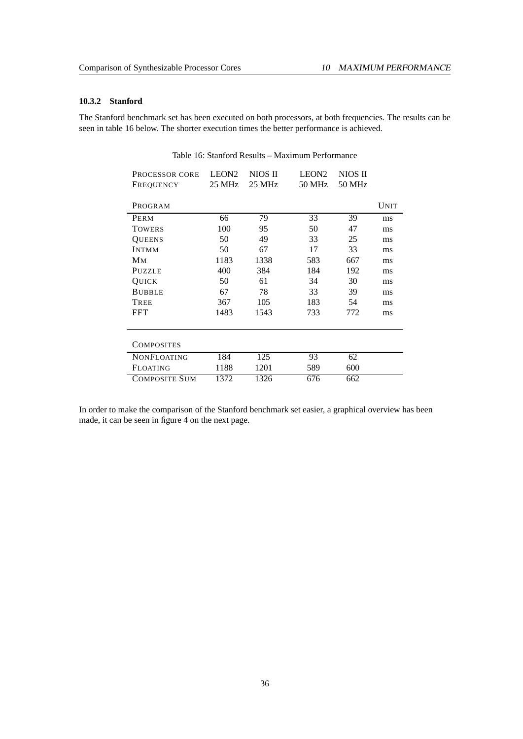## <span id="page-43-0"></span>**10.3.2 Stanford**

The Stanford benchmark set has been executed on both processors, at both frequencies. The results can be seen in table [16](#page-43-1) below. The shorter execution times the better performance is achieved.

| PROCESSOR CORE     | LEON <sub>2</sub> | NIOS II | LEON <sub>2</sub> | NIOS II |             |
|--------------------|-------------------|---------|-------------------|---------|-------------|
| FREQUENCY          | 25 MHz            | 25 MHz  | 50 MHz            | 50 MHz  |             |
|                    |                   |         |                   |         |             |
| PROGRAM            |                   |         |                   |         | <b>UNIT</b> |
| PERM               | 66                | 79      | 33                | 39      | ms          |
| <b>TOWERS</b>      | 100               | 95      | 50                | 47      | ms          |
| <b>QUEENS</b>      | 50                | 49      | 33                | 25      | ms          |
| <b>INTMM</b>       | 50                | 67      | 17                | 33      | ms          |
| Μм                 | 1183              | 1338    | 583               | 667     | ms          |
| <b>PUZZLE</b>      | 400               | 384     | 184               | 192     | ms          |
| QUICK              | 50                | 61      | 34                | 30      | ms          |
| <b>BUBBLE</b>      | 67                | 78      | 33                | 39      | ms          |
| TREE               | 367               | 105     | 183               | 54      | ms          |
| <b>FFT</b>         | 1483              | 1543    | 733               | 772     | ms          |
|                    |                   |         |                   |         |             |
| COMPOSITES         |                   |         |                   |         |             |
| <b>NONFLOATING</b> | 184               | 125     | 93                | 62      |             |
| FLOATING           | 1188              | 1201    | 589               | 600     |             |
| COMPOSITE SUM      | 1372              | 1326    | 676               | 662     |             |

<span id="page-43-1"></span>Table 16: Stanford Results – Maximum Performance

In order to make the comparison of the Stanford benchmark set easier, a graphical overview has been made, it can be seen in figure [4](#page-44-0) on the next page.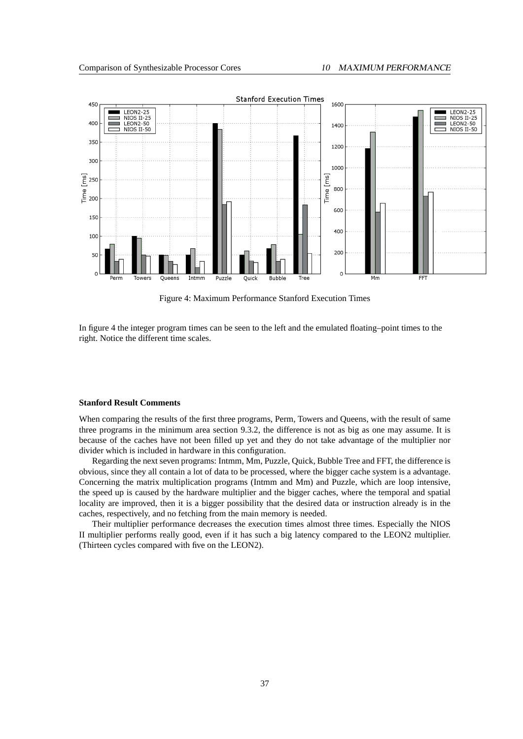

<span id="page-44-0"></span>Figure 4: Maximum Performance Stanford Execution Times

In figure [4](#page-44-0) the integer program times can be seen to the left and the emulated floating–point times to the right. Notice the different time scales.

#### **Stanford Result Comments**

When comparing the results of the first three programs, Perm, Towers and Queens, with the result of same three programs in the minimum area section [9.3.2,](#page-36-0) the difference is not as big as one may assume. It is because of the caches have not been filled up yet and they do not take advantage of the multiplier nor divider which is included in hardware in this configuration.

Regarding the next seven programs: Intmm, Mm, Puzzle, Quick, Bubble Tree and FFT, the difference is obvious, since they all contain a lot of data to be processed, where the bigger cache system is a advantage. Concerning the matrix multiplication programs (Intmm and Mm) and Puzzle, which are loop intensive, the speed up is caused by the hardware multiplier and the bigger caches, where the temporal and spatial locality are improved, then it is a bigger possibility that the desired data or instruction already is in the caches, respectively, and no fetching from the main memory is needed.

Their multiplier performance decreases the execution times almost three times. Especially the NIOS II multiplier performs really good, even if it has such a big latency compared to the LEON2 multiplier. (Thirteen cycles compared with five on the LEON2).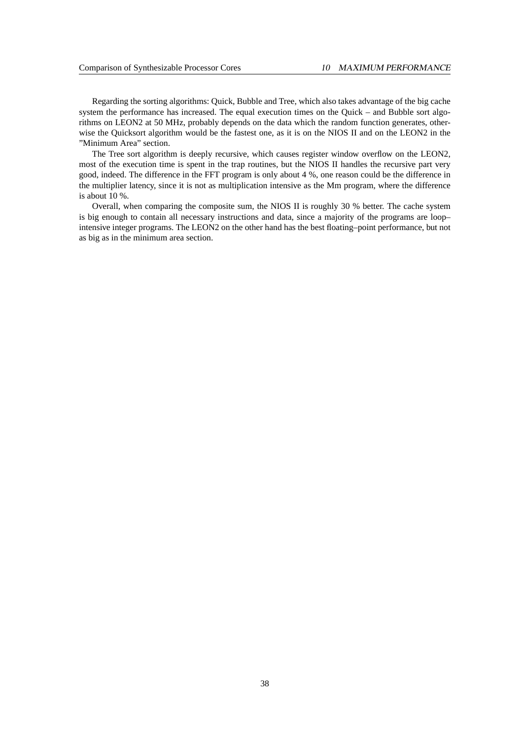Regarding the sorting algorithms: Quick, Bubble and Tree, which also takes advantage of the big cache system the performance has increased. The equal execution times on the Quick – and Bubble sort algorithms on LEON2 at 50 MHz, probably depends on the data which the random function generates, otherwise the Quicksort algorithm would be the fastest one, as it is on the NIOS II and on the LEON2 in the "Minimum Area" section.

The Tree sort algorithm is deeply recursive, which causes register window overflow on the LEON2, most of the execution time is spent in the trap routines, but the NIOS II handles the recursive part very good, indeed. The difference in the FFT program is only about 4 %, one reason could be the difference in the multiplier latency, since it is not as multiplication intensive as the Mm program, where the difference is about 10 %.

Overall, when comparing the composite sum, the NIOS II is roughly 30 % better. The cache system is big enough to contain all necessary instructions and data, since a majority of the programs are loop– intensive integer programs. The LEON2 on the other hand has the best floating–point performance, but not as big as in the minimum area section.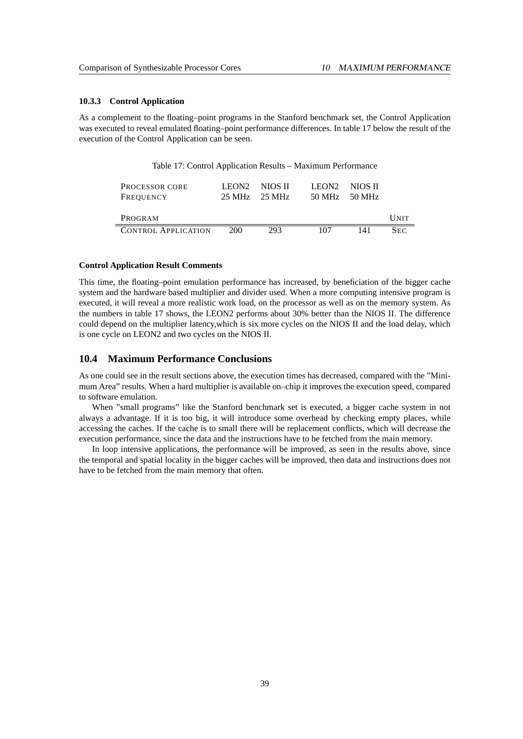#### <span id="page-46-0"></span>**10.3.3 Control Application**

As a complement to the floating–point programs in the Stanford benchmark set, the Control Application was executed to reveal emulated floating–point performance differences. In table [17](#page-46-2) below the result of the execution of the Control Application can be seen.

<span id="page-46-2"></span>

| <b>PROCESSOR CORE</b><br>FREQUENCY | LEON2 | – NIOS II<br>$25 \text{ MHz}$ $25 \text{ MHz}$ | LEON2 | NIOS II<br>$50 \text{ MHz}$ $50 \text{ MHz}$ |             |
|------------------------------------|-------|------------------------------------------------|-------|----------------------------------------------|-------------|
| PROGRAM                            |       |                                                |       |                                              | <b>UNIT</b> |
| <b>CONTROL APPLICATION</b>         | 200   | 293                                            | 107   | 141                                          | $S_{EC}$    |

#### **Control Application Result Comments**

This time, the floating–point emulation performance has increased, by beneficiation of the bigger cache system and the hardware based multiplier and divider used. When a more computing intensive program is executed, it will reveal a more realistic work load, on the processor as well as on the memory system. As the numbers in table [17](#page-46-2) shows, the LEON2 performs about 30% better than the NIOS II. The difference could depend on the multiplier latency,which is six more cycles on the NIOS II and the load delay, which is one cycle on LEON2 and two cycles on the NIOS II.

## <span id="page-46-1"></span>**10.4 Maximum Performance Conclusions**

As one could see in the result sections above, the execution times has decreased, compared with the "Minimum Area" results. When a hard multiplier is available on–chip it improves the execution speed, compared to software emulation.

When "small programs" like the Stanford benchmark set is executed, a bigger cache system in not always a advantage. If it is too big, it will introduce some overhead by checking empty places, while accessing the caches. If the cache is to small there will be replacement conflicts, which will decrease the execution performance, since the data and the instructions have to be fetched from the main memory.

In loop intensive applications, the performance will be improved, as seen in the results above, since the temporal and spatial locality in the bigger caches will be improved, then data and instructions does not have to be fetched from the main memory that often.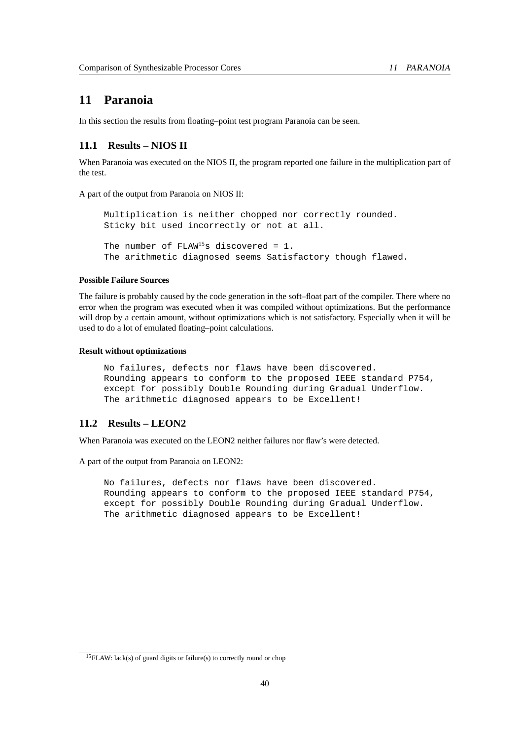# <span id="page-47-0"></span>**11 Paranoia**

In this section the results from floating–point test program Paranoia can be seen.

## <span id="page-47-1"></span>**11.1 Results – NIOS II**

When Paranoia was executed on the NIOS II, the program reported one failure in the multiplication part of the test.

A part of the output from Paranoia on NIOS II:

Multiplication is neither chopped nor correctly rounded. Sticky bit used incorrectly or not at all. The number of  $FLAW^{15}$  $FLAW^{15}$  $FLAW^{15}$ s discovered = 1. The arithmetic diagnosed seems Satisfactory though flawed.

#### **Possible Failure Sources**

The failure is probably caused by the code generation in the soft–float part of the compiler. There where no error when the program was executed when it was compiled without optimizations. But the performance will drop by a certain amount, without optimizations which is not satisfactory. Especially when it will be used to do a lot of emulated floating–point calculations.

#### **Result without optimizations**

No failures, defects nor flaws have been discovered. Rounding appears to conform to the proposed IEEE standard P754, except for possibly Double Rounding during Gradual Underflow. The arithmetic diagnosed appears to be Excellent!

## <span id="page-47-2"></span>**11.2 Results – LEON2**

When Paranoia was executed on the LEON2 neither failures nor flaw's were detected.

A part of the output from Paranoia on LEON2:

No failures, defects nor flaws have been discovered. Rounding appears to conform to the proposed IEEE standard P754, except for possibly Double Rounding during Gradual Underflow. The arithmetic diagnosed appears to be Excellent!

<span id="page-47-3"></span><sup>&</sup>lt;sup>15</sup>FLAW: lack(s) of guard digits or failure(s) to correctly round or chop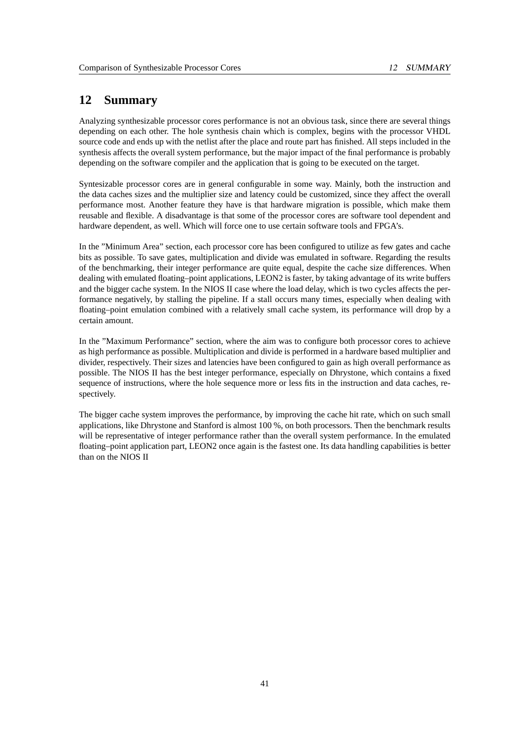# <span id="page-48-0"></span>**12 Summary**

Analyzing synthesizable processor cores performance is not an obvious task, since there are several things depending on each other. The hole synthesis chain which is complex, begins with the processor VHDL source code and ends up with the netlist after the place and route part has finished. All steps included in the synthesis affects the overall system performance, but the major impact of the final performance is probably depending on the software compiler and the application that is going to be executed on the target.

Syntesizable processor cores are in general configurable in some way. Mainly, both the instruction and the data caches sizes and the multiplier size and latency could be customized, since they affect the overall performance most. Another feature they have is that hardware migration is possible, which make them reusable and flexible. A disadvantage is that some of the processor cores are software tool dependent and hardware dependent, as well. Which will force one to use certain software tools and FPGA's.

In the "Minimum Area" section, each processor core has been configured to utilize as few gates and cache bits as possible. To save gates, multiplication and divide was emulated in software. Regarding the results of the benchmarking, their integer performance are quite equal, despite the cache size differences. When dealing with emulated floating–point applications, LEON2 is faster, by taking advantage of its write buffers and the bigger cache system. In the NIOS II case where the load delay, which is two cycles affects the performance negatively, by stalling the pipeline. If a stall occurs many times, especially when dealing with floating–point emulation combined with a relatively small cache system, its performance will drop by a certain amount.

In the "Maximum Performance" section, where the aim was to configure both processor cores to achieve as high performance as possible. Multiplication and divide is performed in a hardware based multiplier and divider, respectively. Their sizes and latencies have been configured to gain as high overall performance as possible. The NIOS II has the best integer performance, especially on Dhrystone, which contains a fixed sequence of instructions, where the hole sequence more or less fits in the instruction and data caches, respectively.

The bigger cache system improves the performance, by improving the cache hit rate, which on such small applications, like Dhrystone and Stanford is almost 100 %, on both processors. Then the benchmark results will be representative of integer performance rather than the overall system performance. In the emulated floating–point application part, LEON2 once again is the fastest one. Its data handling capabilities is better than on the NIOS II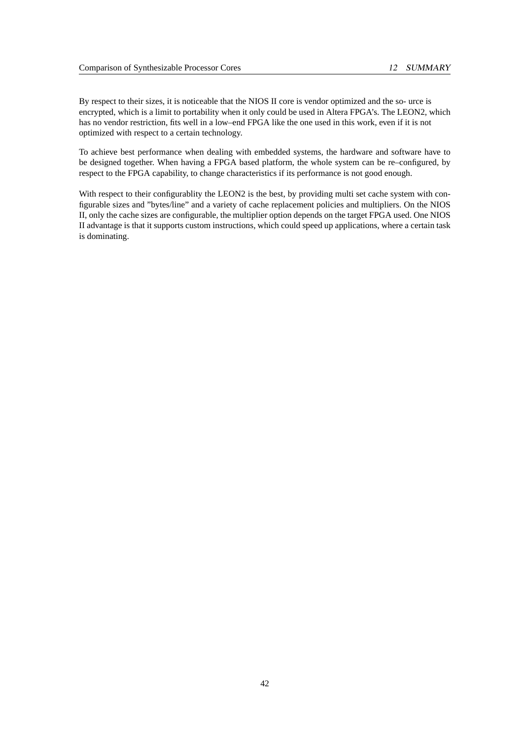By respect to their sizes, it is noticeable that the NIOS II core is vendor optimized and the so- urce is encrypted, which is a limit to portability when it only could be used in Altera FPGA's. The LEON2, which has no vendor restriction, fits well in a low–end FPGA like the one used in this work, even if it is not optimized with respect to a certain technology.

To achieve best performance when dealing with embedded systems, the hardware and software have to be designed together. When having a FPGA based platform, the whole system can be re–configured, by respect to the FPGA capability, to change characteristics if its performance is not good enough.

With respect to their configurablity the LEON2 is the best, by providing multi set cache system with configurable sizes and "bytes/line" and a variety of cache replacement policies and multipliers. On the NIOS II, only the cache sizes are configurable, the multiplier option depends on the target FPGA used. One NIOS II advantage is that it supports custom instructions, which could speed up applications, where a certain task is dominating.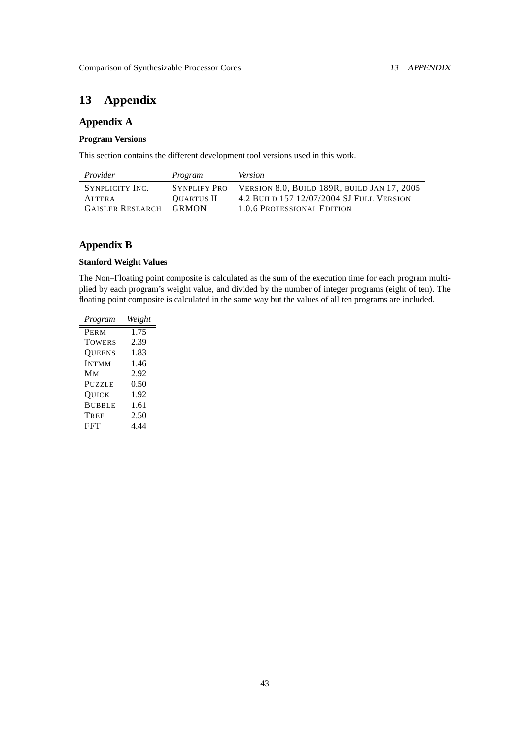# <span id="page-50-0"></span>**13 Appendix**

## **Appendix A**

## **Program Versions**

This section contains the different development tool versions used in this work.

| Provider                | Program      | <i>Version</i>                                           |
|-------------------------|--------------|----------------------------------------------------------|
| SYNPLICITY INC.         |              | SYNPLIFY PRO VERSION 8.0, BUILD 189R, BUILD JAN 17, 2005 |
| ALTER A                 | OUARTUS II   | 4.2 BUILD 157 12/07/2004 SJ FULL VERSION                 |
| <b>GAISLER RESEARCH</b> | <b>GRMON</b> | 1.0.6 PROFESSIONAL EDITION                               |

## **Appendix B**

## **Stanford Weight Values**

The Non–Floating point composite is calculated as the sum of the execution time for each program multiplied by each program's weight value, and divided by the number of integer programs (eight of ten). The floating point composite is calculated in the same way but the values of all ten programs are included.

| Program       | Weight |
|---------------|--------|
| PERM          | 1.75   |
| <b>TOWERS</b> | 2.39   |
| <b>OUEENS</b> | 1.83   |
| <b>INTMM</b>  | 1.46   |
| Мм            | 2.92   |
| PUZZLE        | 0.50   |
| OUICK         | 1.92   |
| <b>BUBBLE</b> | 1.61   |
| TREE          | 2.50   |
| <b>FFT</b>    | 4.44   |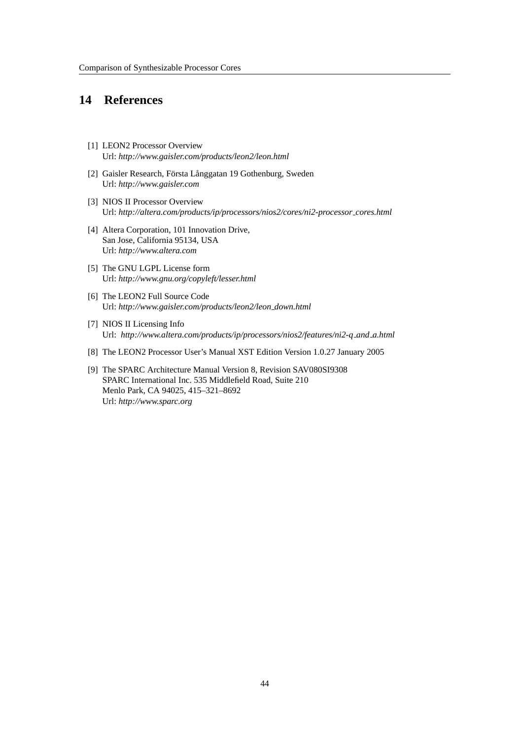# <span id="page-51-0"></span>**14 References**

- <span id="page-51-1"></span>[1] LEON2 Processor Overview Url: *http://www.gaisler.com/products/leon2/leon.html*
- <span id="page-51-2"></span>[2] Gaisler Research, Första Långgatan 19 Gothenburg, Sweden Url: *http://www.gaisler.com*
- <span id="page-51-3"></span>[3] NIOS II Processor Overview Url: *http://altera.com/products/ip/processors/nios2/cores/ni2-processor cores.html*
- <span id="page-51-4"></span>[4] Altera Corporation, 101 Innovation Drive, San Jose, California 95134, USA Url: *http://www.altera.com*
- <span id="page-51-5"></span>[5] The GNU LGPL License form Url: *http://www.gnu.org/copyleft/lesser.html*
- <span id="page-51-6"></span>[6] The LEON2 Full Source Code Url: *http://www.gaisler.com/products/leon2/leon down.html*
- <span id="page-51-7"></span>[7] NIOS II Licensing Info Url: *http://www.altera.com/products/ip/processors/nios2/features/ni2-q and a.html*
- <span id="page-51-8"></span>[8] The LEON2 Processor User's Manual XST Edition Version 1.0.27 January 2005
- <span id="page-51-9"></span>[9] The SPARC Architecture Manual Version 8, Revision SAV080SI9308 SPARC International Inc. 535 Middlefield Road, Suite 210 Menlo Park, CA 94025, 415–321–8692 Url: *http://www.sparc.org*